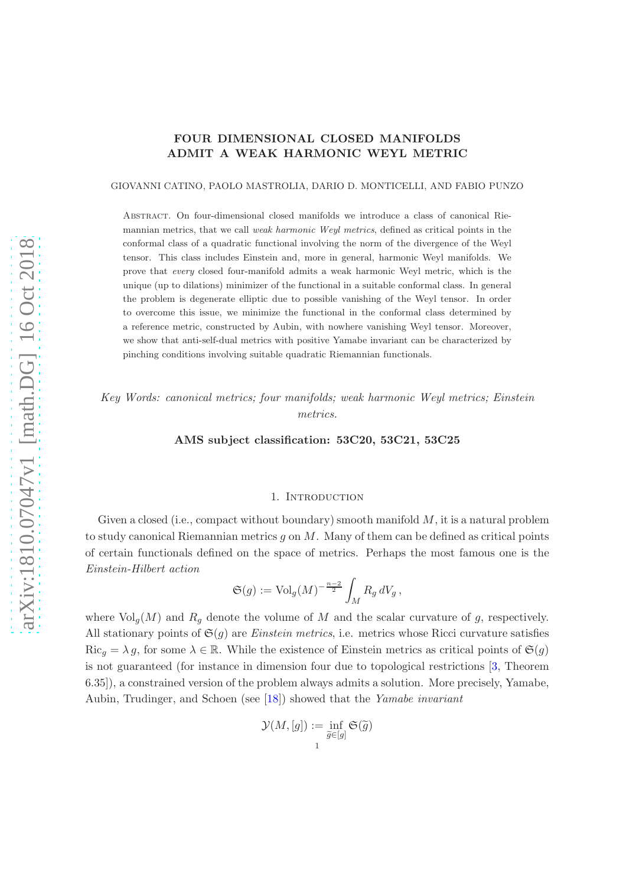# FOUR DIMENSIONAL CLOSED MANIFOLDS ADMIT A WEAK HARMONIC WEYL METRIC

#### GIOVANNI CATINO, PAOLO MASTROLIA, DARIO D. MONTICELLI, AND FABIO PUNZO

Abstract. On four-dimensional closed manifolds we introduce a class of canonical Riemannian metrics, that we call weak harmonic Weyl metrics, defined as critical points in the conformal class of a quadratic functional involving the norm of the divergence of the Weyl tensor. This class includes Einstein and, more in general, harmonic Weyl manifolds. We prove that every closed four-manifold admits a weak harmonic Weyl metric, which is the unique (up to dilations) minimizer of the functional in a suitable conformal class. In general the problem is degenerate elliptic due to possible vanishing of the Weyl tensor. In order to overcome this issue, we minimize the functional in the conformal class determined by a reference metric, constructed by Aubin, with nowhere vanishing Weyl tensor. Moreover, we show that anti-self-dual metrics with positive Yamabe invariant can be characterized by pinching conditions involving suitable quadratic Riemannian functionals.

*Key Words: canonical metrics; four manifolds; weak harmonic Weyl metrics; Einstein metrics.*

AMS subject classification: 53C20, 53C21, 53C25

#### 1. Introduction

Given a closed (i.e., compact without boundary) smooth manifold  $M$ , it is a natural problem to study canonical Riemannian metrics q on  $M$ . Many of them can be defined as critical points of certain functionals defined on the space of metrics. Perhaps the most famous one is the *Einstein-Hilbert action*

$$
\mathfrak{S}(g) := \text{Vol}_g(M)^{-\frac{n-2}{2}} \int_M R_g dV_g \,,
$$

where  $\text{Vol}_q(M)$  and  $R_q$  denote the volume of M and the scalar curvature of g, respectively. All stationary points of  $\mathfrak{S}(g)$  are *Einstein metrics*, i.e. metrics whose Ricci curvature satisfies  $\text{Ric}_{q} = \lambda g$ , for some  $\lambda \in \mathbb{R}$ . While the existence of Einstein metrics as critical points of  $\mathfrak{S}(g)$ is not guaranteed (for instance in dimension four due to topological restrictions [\[3,](#page-29-0) Theorem 6.35]), a constrained version of the problem always admits a solution. More precisely, Yamabe, Aubin, Trudinger, and Schoen (see [\[18\]](#page-29-1)) showed that the *Yamabe invariant*

$$
\mathcal{Y}(M,[g]) := \inf_{\widetilde{g} \in [g]} \mathfrak{S}(\widetilde{g})
$$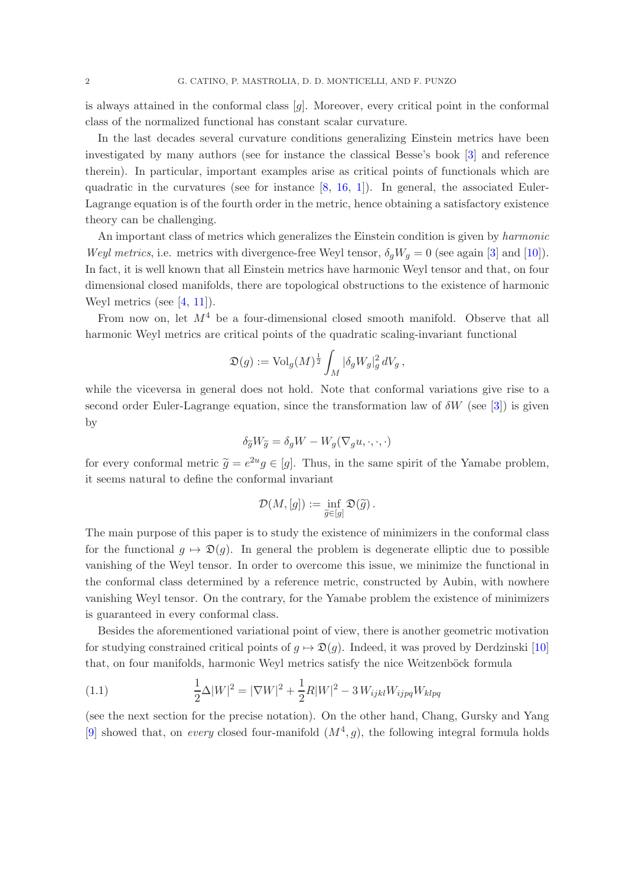is always attained in the conformal class  $[g]$ . Moreover, every critical point in the conformal class of the normalized functional has constant scalar curvature.

In the last decades several curvature conditions generalizing Einstein metrics have been investigated by many authors (see for instance the classical Besse's book [\[3\]](#page-29-0) and reference therein). In particular, important examples arise as critical points of functionals which are quadratic in the curvatures (see for instance  $[8, 16, 1]$  $[8, 16, 1]$  $[8, 16, 1]$  $[8, 16, 1]$ ). In general, the associated Euler-Lagrange equation is of the fourth order in the metric, hence obtaining a satisfactory existence theory can be challenging.

An important class of metrics which generalizes the Einstein condition is given by *harmonic Weyl metrics*, i.e. metrics with divergence-free Weyl tensor,  $\delta_a W_a = 0$  (see again [\[3\]](#page-29-0) and [\[10\]](#page-29-5)). In fact, it is well known that all Einstein metrics have harmonic Weyl tensor and that, on four dimensional closed manifolds, there are topological obstructions to the existence of harmonic Weyl metrics (see [\[4,](#page-29-6) [11\]](#page-29-7)).

From now on, let  $M<sup>4</sup>$  be a four-dimensional closed smooth manifold. Observe that all harmonic Weyl metrics are critical points of the quadratic scaling-invariant functional

$$
\mathfrak{D}(g) := \text{Vol}_g(M)^{\frac{1}{2}} \int_M |\delta_g W_g|_g^2 dV_g,
$$

while the viceversa in general does not hold. Note that conformal variations give rise to a second order Euler-Lagrange equation, since the transformation law of  $\delta W$  (see [\[3\]](#page-29-0)) is given by

$$
\delta_{\widetilde{g}} W_{\widetilde{g}} = \delta_g W - W_g (\nabla_g u, \cdot, \cdot, \cdot)
$$

for every conformal metric  $\tilde{g} = e^{2u}g \in [g]$ . Thus, in the same spirit of the Yamabe problem, it seems natural to define the conformal invariant

$$
\mathcal{D}(M,[g]) := \inf_{\widetilde{g} \in [g]} \mathfrak{D}(\widetilde{g})\,.
$$

The main purpose of this paper is to study the existence of minimizers in the conformal class for the functional  $q \mapsto \mathfrak{D}(q)$ . In general the problem is degenerate elliptic due to possible vanishing of the Weyl tensor. In order to overcome this issue, we minimize the functional in the conformal class determined by a reference metric, constructed by Aubin, with nowhere vanishing Weyl tensor. On the contrary, for the Yamabe problem the existence of minimizers is guaranteed in every conformal class.

Besides the aforementioned variational point of view, there is another geometric motivation for studying constrained critical points of  $g \mapsto \mathfrak{D}(g)$ . Indeed, it was proved by Derdzinski [\[10\]](#page-29-5) that, on four manifolds, harmonic Weyl metrics satisfy the nice Weitzenböck formula

<span id="page-1-0"></span>(1.1) 
$$
\frac{1}{2}\Delta |W|^2 = |\nabla W|^2 + \frac{1}{2}R|W|^2 - 3 W_{ijkl} W_{ijpq} W_{klpq}
$$

(see the next section for the precise notation). On the other hand, Chang, Gursky and Yang [\[9\]](#page-29-8) showed that, on *every* closed four-manifold  $(M^4, g)$ , the following integral formula holds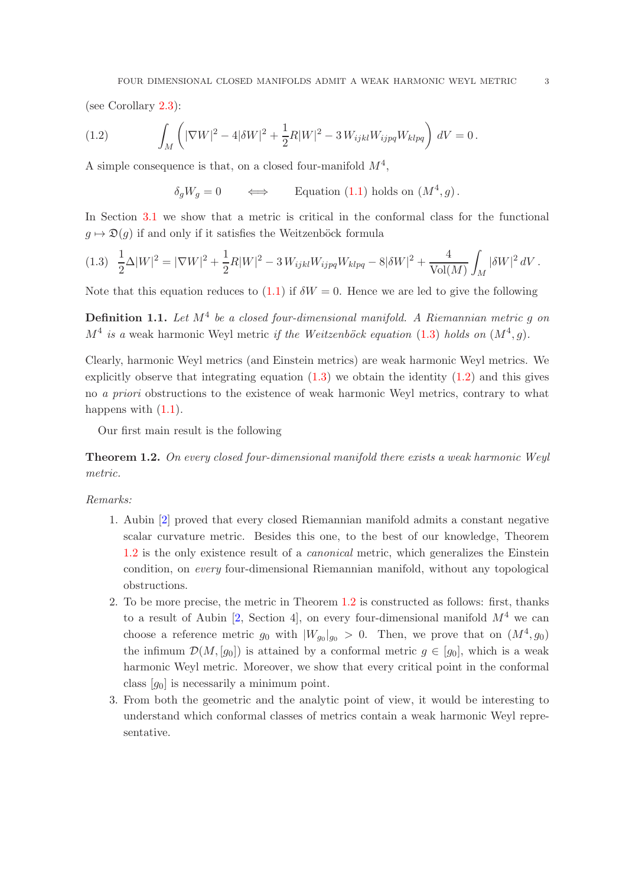(see Corollary [2.3\)](#page-9-0):

(1.2) 
$$
\int_M \left( |\nabla W|^2 - 4|\delta W|^2 + \frac{1}{2}R|W|^2 - 3 W_{ijkl} W_{ijpq} W_{klpq} \right) dV = 0.
$$

A simple consequence is that, on a closed four-manifold  $M^4$ ,

<span id="page-2-1"></span> $\delta_g W_g = 0 \qquad \Longleftrightarrow \qquad \text{Equation (1.1) holds on } (M^4, g)$  $\delta_g W_g = 0 \qquad \Longleftrightarrow \qquad \text{Equation (1.1) holds on } (M^4, g)$  $\delta_g W_g = 0 \qquad \Longleftrightarrow \qquad \text{Equation (1.1) holds on } (M^4, g)$ .

In Section [3.1](#page-11-0) we show that a metric is critical in the conformal class for the functional  $q \mapsto \mathfrak{D}(q)$  if and only if it satisfies the Weitzenböck formula

<span id="page-2-0"></span>
$$
(1.3)\quad \frac{1}{2}\Delta |W|^2 = |\nabla W|^2 + \frac{1}{2}R|W|^2 - 3\,W_{ijkl}W_{ijpq}W_{klpq} - 8|\delta W|^2 + \frac{4}{\text{Vol}(M)}\int_M |\delta W|^2\,dV\,.
$$

Note that this equation reduces to [\(1.1\)](#page-1-0) if  $\delta W = 0$ . Hence we are led to give the following

<span id="page-2-3"></span>Definition 1.1. *Let* M<sup>4</sup> *be a closed four-dimensional manifold. A Riemannian metric* g *on*  $M<sup>4</sup>$  is a weak harmonic Weyl metric *if the Weitzenböck equation* [\(1.3\)](#page-2-0) *holds on*  $(M<sup>4</sup>, g)$ *.* 

Clearly, harmonic Weyl metrics (and Einstein metrics) are weak harmonic Weyl metrics. We explicitly observe that integrating equation  $(1.3)$  we obtain the identity  $(1.2)$  and this gives no *a priori* obstructions to the existence of weak harmonic Weyl metrics, contrary to what happens with  $(1.1)$ .

Our first main result is the following

<span id="page-2-2"></span>Theorem 1.2. *On every closed four-dimensional manifold there exists a weak harmonic Weyl metric.*

## *Remarks:*

- 1. Aubin [\[2\]](#page-29-9) proved that every closed Riemannian manifold admits a constant negative scalar curvature metric. Besides this one, to the best of our knowledge, Theorem [1.2](#page-2-2) is the only existence result of a *canonical* metric, which generalizes the Einstein condition, on *every* four-dimensional Riemannian manifold, without any topological obstructions.
- 2. To be more precise, the metric in Theorem [1.2](#page-2-2) is constructed as follows: first, thanks to a result of Aubin [\[2,](#page-29-9) Section 4], on every four-dimensional manifold  $M<sup>4</sup>$  we can choose a reference metric  $g_0$  with  $|W_{g_0}|_{g_0} > 0$ . Then, we prove that on  $(M^4, g_0)$ the infimum  $\mathcal{D}(M, [g_0])$  is attained by a conformal metric  $g \in [g_0]$ , which is a weak harmonic Weyl metric. Moreover, we show that every critical point in the conformal class  $[g_0]$  is necessarily a minimum point.
- 3. From both the geometric and the analytic point of view, it would be interesting to understand which conformal classes of metrics contain a weak harmonic Weyl representative.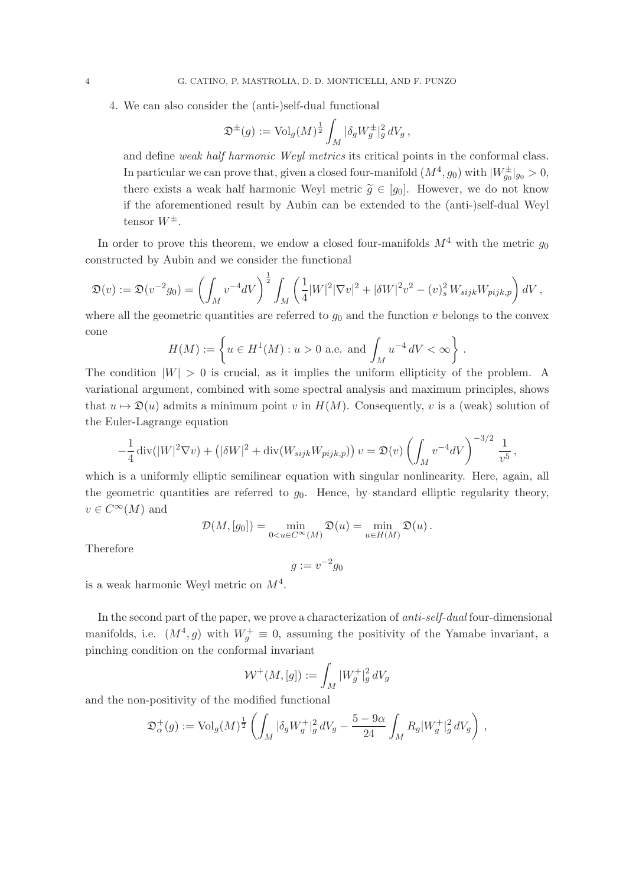4. We can also consider the (anti-)self-dual functional

$$
\mathfrak{D}^\pm(g):=\operatorname{Vol}_g(M)^\frac{1}{2}\int_M|\delta_g W_g^\pm|_g^2\,dV_g\,,
$$

and define *weak half harmonic Weyl metrics* its critical points in the conformal class. In particular we can prove that, given a closed four-manifold  $(M^4, g_0)$  with  $|W_{g_0}^{\pm}|_{g_0} > 0$ , there exists a weak half harmonic Weyl metric  $\tilde{g} \in [g_0]$ . However, we do not know if the aforementioned result by Aubin can be extended to the (anti-)self-dual Weyl tensor  $W^{\pm}$ .

In order to prove this theorem, we endow a closed four-manifolds  $M^4$  with the metric  $g_0$ constructed by Aubin and we consider the functional

$$
\mathfrak{D}(v) := \mathfrak{D}(v^{-2}g_0) = \left(\int_M v^{-4}dV\right)^{\frac{1}{2}} \int_M \left(\frac{1}{4}|W|^2|\nabla v|^2 + |\delta W|^2v^2 - (v)_s^2 W_{sijk}W_{pijk,p}\right) dV,
$$

where all the geometric quantities are referred to  $g_0$  and the function v belongs to the convex cone

$$
H(M) := \left\{ u \in H^1(M) : u > 0 \text{ a.e. and } \int_M u^{-4} dV < \infty \right\}.
$$

The condition  $|W| > 0$  is crucial, as it implies the uniform ellipticity of the problem. A variational argument, combined with some spectral analysis and maximum principles, shows that  $u \mapsto \mathfrak{D}(u)$  admits a minimum point v in  $H(M)$ . Consequently, v is a (weak) solution of the Euler-Lagrange equation

$$
-\frac{1}{4}\operatorname{div}(|W|^2 \nabla v) + (|\delta W|^2 + \operatorname{div}(W_{sijk}W_{pijk,p})) v = \mathfrak{D}(v) \left( \int_M v^{-4} dV \right)^{-3/2} \frac{1}{v^5},
$$

which is a uniformly elliptic semilinear equation with singular nonlinearity. Here, again, all the geometric quantities are referred to  $g_0$ . Hence, by standard elliptic regularity theory,  $v \in C^{\infty}(M)$  and

$$
\mathcal{D}(M,[g_0]) = \min_{0 < u \in C^{\infty}(M)} \mathfrak{D}(u) = \min_{u \in H(M)} \mathfrak{D}(u).
$$

Therefore

$$
g := v^{-2}g_0
$$

is a weak harmonic Weyl metric on  $M^4$ .

In the second part of the paper, we prove a characterization of *anti-self-dual* four-dimensional manifolds, i.e.  $(M^4, g)$  with  $W_g^+ \equiv 0$ , assuming the positivity of the Yamabe invariant, a pinching condition on the conformal invariant

$$
\mathcal{W}^+(M,[g]) := \int_M |W_g^+|_g^2 dV_g
$$

and the non-positivity of the modified functional

$$
\mathfrak{D}^+_\alpha(g):=\operatorname{Vol}_g(M)^{\frac{1}{2}}\left(\int_M|\delta_g W_g^+|_g^2\,dV_g-\frac{5-9\alpha}{24}\int_MR_g|W_g^+|_g^2\,dV_g\right)\,,
$$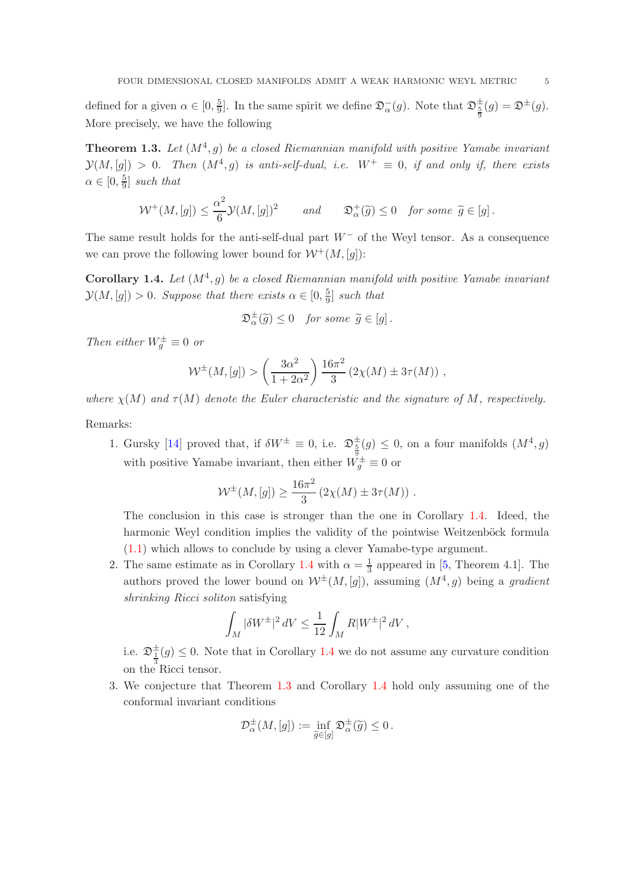defined for a given  $\alpha \in [0, \frac{5}{9}]$  $\frac{5}{9}$ . In the same spirit we define  $\mathfrak{D}_{\alpha}^{-}(g)$ . Note that  $\mathfrak{D}_{\frac{5}{9}}^{\pm}(g) = \mathfrak{D}^{\pm}(g)$ . More precisely, we have the following

<span id="page-4-1"></span>**Theorem 1.3.** Let  $(M^4, g)$  be a closed Riemannian manifold with positive Yamabe invariant  $\mathcal{Y}(M,[g]) > 0$ . Then  $(M^4,g)$  is anti-self-dual, i.e.  $W^+ \equiv 0$ , if and only if, there exists  $\alpha \in [0, \frac{5}{9}]$  $\frac{5}{9}$  *such that* 

$$
\mathcal{W}^+(M,[g]) \le \frac{\alpha^2}{6} \mathcal{Y}(M,[g])^2 \qquad \text{and} \qquad \mathfrak{D}^+_{\alpha}(\widetilde{g}) \le 0 \quad \text{for some } \widetilde{g} \in [g].
$$

The same result holds for the anti-self-dual part  $W^-$  of the Weyl tensor. As a consequence we can prove the following lower bound for  $W^+(M, [q])$ :

<span id="page-4-0"></span>**Corollary 1.4.** Let  $(M^4, g)$  be a closed Riemannian manifold with positive Yamabe invariant  $\mathcal{Y}(M,[g]) > 0$ . Suppose that there exists  $\alpha \in [0, \frac{5}{9}]$  $\frac{5}{9}$  *such that* 

$$
\mathfrak{D}_{\alpha}^{\pm}(\widetilde{g}) \leq 0 \quad \text{for some } \widetilde{g} \in [g].
$$

*Then either*  $W_g^{\pm} \equiv 0$  *or* 

$$
W^{\pm}(M,[g]) > \left(\frac{3\alpha^2}{1+2\alpha^2}\right) \frac{16\pi^2}{3} \left(2\chi(M) \pm 3\tau(M)\right) ,
$$

*where*  $\chi(M)$  *and*  $\tau(M)$  *denote the Euler characteristic and the signature of* M, *respectively.* Remarks:

1. Gursky [\[14\]](#page-29-10) proved that, if  $\delta W^{\pm} \equiv 0$ , i.e.  $\mathfrak{D}_{\frac{5}{9}}^{\pm}(g) \leq 0$ , on a four manifolds  $(M^4, g)$ with positive Yamabe invariant, then either  $W_g^{\pm} \equiv 0$  or

$$
W^{\pm}(M,[g]) \ge \frac{16\pi^2}{3} (2\chi(M) \pm 3\tau(M)).
$$

The conclusion in this case is stronger than the one in Corollary [1.4.](#page-4-0) Ideed, the harmonic Weyl condition implies the validity of the pointwise Weitzenböck formula [\(1.1\)](#page-1-0) which allows to conclude by using a clever Yamabe-type argument.

2. The same estimate as in Corollary [1.4](#page-4-0) with  $\alpha = \frac{1}{3}$  $\frac{1}{3}$  appeared in [\[5,](#page-29-11) Theorem 4.1]. The authors proved the lower bound on  $W^{\pm}(M,[g])$ , assuming  $(M^4, g)$  being a *gradient shrinking Ricci soliton* satisfying

$$
\int_M |\delta W^{\pm}|^2\,dV \leq \frac{1}{12}\int_M R|W^{\pm}|^2\,dV\,,
$$

i.e.  $\mathfrak{D}_{\frac{1}{3}}^{\pm}(g) \leq 0$ . Note that in Corollary [1.4](#page-4-0) we do not assume any curvature condition on the Ricci tensor.

3. We conjecture that Theorem [1.3](#page-4-1) and Corollary [1.4](#page-4-0) hold only assuming one of the conformal invariant conditions

$$
\mathcal{D}_{\alpha}^{\pm}(M,[g]) := \inf_{\widetilde{g} \in [g]} \mathfrak{D}_{\alpha}^{\pm}(\widetilde{g}) \leq 0.
$$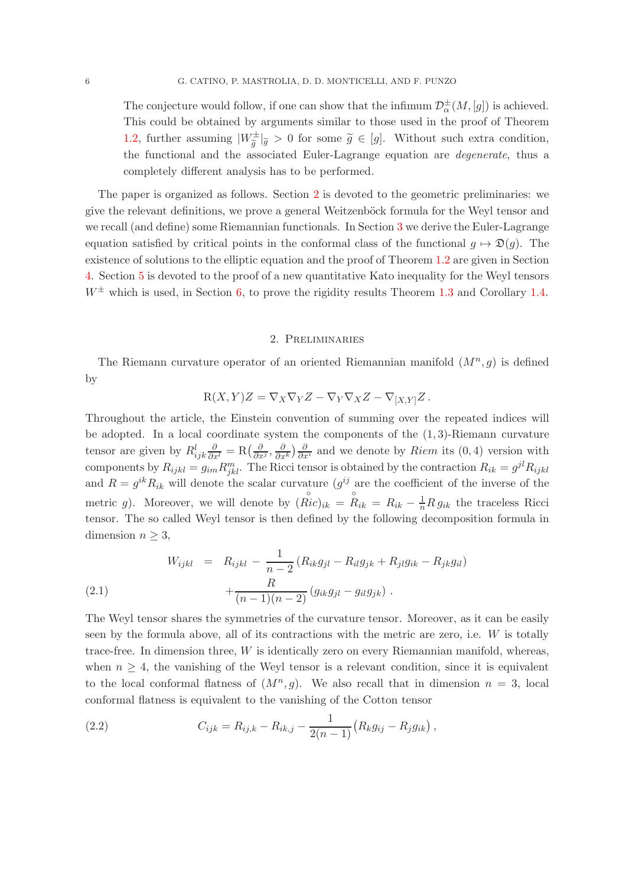The conjecture would follow, if one can show that the infimum  $\mathcal{D}^{\pm}_{\alpha}(M,[g])$  is achieved. This could be obtained by arguments similar to those used in the proof of Theorem [1.2,](#page-2-2) further assuming  $|W_{\tilde{g}}^{\pm}|_{\tilde{g}} > 0$  for some  $\tilde{g} \in [g]$ . Without such extra condition, the functional and the associated Euler-Lagrange equation are *degenerate*, thus a completely different analysis has to be performed.

The paper is organized as follows. Section [2](#page-5-0) is devoted to the geometric preliminaries: we give the relevant definitions, we prove a general Weitzenböck formula for the Weyl tensor and we recall (and define) some Riemannian functionals. In Section [3](#page-11-1) we derive the Euler-Lagrange equation satisfied by critical points in the conformal class of the functional  $q \mapsto \mathfrak{D}(q)$ . The existence of solutions to the elliptic equation and the proof of Theorem [1.2](#page-2-2) are given in Section [4.](#page-13-0) Section [5](#page-23-0) is devoted to the proof of a new quantitative Kato inequality for the Weyl tensors  $W^{\pm}$  which is used, in Section [6,](#page-26-0) to prove the rigidity results Theorem [1.3](#page-4-1) and Corollary [1.4.](#page-4-0)

### 2. Preliminaries

<span id="page-5-0"></span>The Riemann curvature operator of an oriented Riemannian manifold  $(M^n, g)$  is defined by

$$
\mathbf{R}(X,Y)Z=\nabla_X\nabla_YZ-\nabla_Y\nabla_XZ-\nabla_{[X,Y]}Z\,.
$$

Throughout the article, the Einstein convention of summing over the repeated indices will be adopted. In a local coordinate system the components of the  $(1,3)$ -Riemann curvature tensor are given by  $R_{ijk}^l \frac{\partial}{\partial x^l} = \text{R} \left( \frac{\partial}{\partial x^j}, \frac{\partial}{\partial x^k} \right) \frac{\partial}{\partial x^i}$  and we denote by *Riem* its (0,4) version with components by  $R_{ijkl} = g_{im} R_{jkl}^m$ . The Ricci tensor is obtained by the contraction  $R_{ik} = g^{jl} R_{ijkl}$ and  $R = g^{ik}R_{ik}$  will denote the scalar curvature  $(g^{ij})$  are the coefficient of the inverse of the metric g). Moreover, we will denote by  $(\stackrel{\circ}{Ric})_{ik} = \stackrel{\circ}{R}_{ik} = R_{ik} - \frac{1}{n} R g_{ik}$  the traceless Ricci tensor. The so called Weyl tensor is then defined by the following decomposition formula in dimension  $n \geq 3$ ,

(2.1) 
$$
W_{ijkl} = R_{ijkl} - \frac{1}{n-2} (R_{ik}g_{jl} - R_{il}g_{jk} + R_{jl}g_{ik} - R_{jk}g_{il}) + \frac{R}{(n-1)(n-2)} (g_{ik}g_{jl} - g_{il}g_{jk}).
$$

The Weyl tensor shares the symmetries of the curvature tensor. Moreover, as it can be easily seen by the formula above, all of its contractions with the metric are zero, i.e. W is totally trace-free. In dimension three,  $W$  is identically zero on every Riemannian manifold, whereas, when  $n \geq 4$ , the vanishing of the Weyl tensor is a relevant condition, since it is equivalent to the local conformal flatness of  $(M^n, g)$ . We also recall that in dimension  $n = 3$ , local conformal flatness is equivalent to the vanishing of the Cotton tensor

(2.2) 
$$
C_{ijk} = R_{ij,k} - R_{ik,j} - \frac{1}{2(n-1)}(R_k g_{ij} - R_j g_{ik}),
$$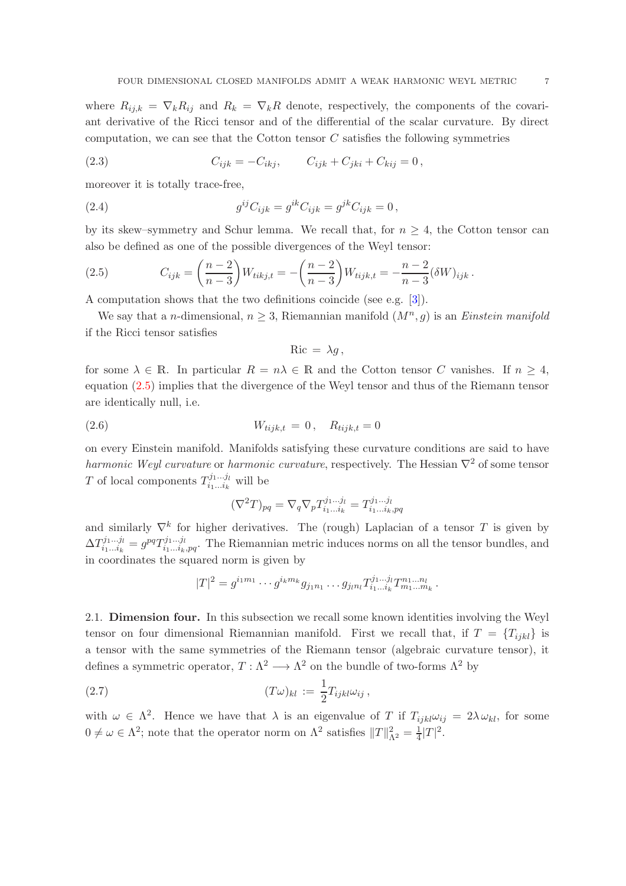where  $R_{ij,k} = \nabla_k R_{ij}$  and  $R_k = \nabla_k R$  denote, respectively, the components of the covariant derivative of the Ricci tensor and of the differential of the scalar curvature. By direct computation, we can see that the Cotton tensor  $C$  satisfies the following symmetries

(2.3) 
$$
C_{ijk} = -C_{ikj}, \qquad C_{ijk} + C_{jki} + C_{kij} = 0,
$$

moreover it is totally trace-free,

(2.4) 
$$
g^{ij}C_{ijk} = g^{ik}C_{ijk} = g^{jk}C_{ijk} = 0,
$$

by its skew–symmetry and Schur lemma. We recall that, for  $n \geq 4$ , the Cotton tensor can also be defined as one of the possible divergences of the Weyl tensor:

<span id="page-6-0"></span>(2.5) 
$$
C_{ijk} = \left(\frac{n-2}{n-3}\right) W_{tikj,t} = -\left(\frac{n-2}{n-3}\right) W_{tijk,t} = -\frac{n-2}{n-3} (\delta W)_{ijk}.
$$

A computation shows that the two definitions coincide (see e.g. [\[3\]](#page-29-0)).

We say that a *n*-dimensional,  $n \geq 3$ , Riemannian manifold  $(M<sup>n</sup>, g)$  is an *Einstein manifold* if the Ricci tensor satisfies

$$
Ric = \lambda g,
$$

for some  $\lambda \in \mathbb{R}$ . In particular  $R = n\lambda \in \mathbb{R}$  and the Cotton tensor C vanishes. If  $n \geq 4$ , equation [\(2.5\)](#page-6-0) implies that the divergence of the Weyl tensor and thus of the Riemann tensor are identically null, i.e.

(2.6) 
$$
W_{tijk,t} = 0, \quad R_{tijk,t} = 0
$$

on every Einstein manifold. Manifolds satisfying these curvature conditions are said to have *harmonic Weyl curvature* or *harmonic curvature*, respectively. The Hessian  $∇^2$  of some tensor T of local components  $T_{i_1...i_k}^{j_1...j_l}$  $\prod_{i_1...i_k}^{j_1...j_l}$  will be

$$
(\nabla^2 T)_{pq} = \nabla_q \nabla_p T_{i_1...i_k}^{j_1...j_l} = T_{i_1...i_k,pq}^{j_1...j_l}
$$

and similarly  $\nabla^k$  for higher derivatives. The (rough) Laplacian of a tensor T is given by  $\Delta T_{i_1\ldots i_k}^{j_1\ldots j_l}$  $i_1...i_k = g^{pq}T_{i_1...i_k,pq}^{j_1...j_l}$ . The Riemannian metric induces norms on all the tensor bundles, and in coordinates the squared norm is given by

$$
|T|^2 = g^{i_1m_1} \cdots g^{i_km_k} g_{j_1n_1} \cdots g_{j_ln_l} T^{j_1 \cdots j_l}_{i_1 \cdots i_k} T^{n_1 \cdots n_l}_{m_1 \cdots m_k}.
$$

2.1. Dimension four. In this subsection we recall some known identities involving the Weyl tensor on four dimensional Riemannian manifold. First we recall that, if  $T = \{T_{ijkl}\}\$ is a tensor with the same symmetries of the Riemann tensor (algebraic curvature tensor), it defines a symmetric operator,  $T : \Lambda^2 \longrightarrow \Lambda^2$  on the bundle of two-forms  $\Lambda^2$  by

(2.7) 
$$
(T\omega)_{kl} := \frac{1}{2} T_{ijkl} \omega_{ij},
$$

with  $\omega \in \Lambda^2$ . Hence we have that  $\lambda$  is an eigenvalue of T if  $T_{ijkl}\omega_{ij} = 2\lambda \omega_{kl}$ , for some  $0 \neq \omega \in \Lambda^2$ ; note that the operator norm on  $\Lambda^2$  satisfies  $||T||_{\Lambda^2}^2 = \frac{1}{4}|T|^2$ .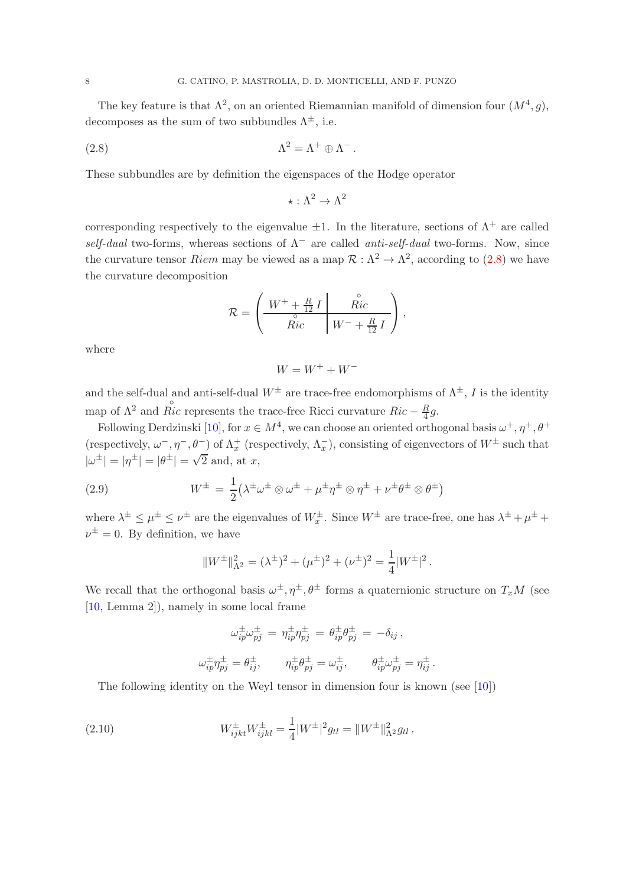The key feature is that  $\Lambda^2$ , on an oriented Riemannian manifold of dimension four  $(M^4, g)$ , decomposes as the sum of two subbundles  $\Lambda^{\pm}$ , i.e.

(2.8) 
$$
\Lambda^2 = \Lambda^+ \oplus \Lambda^-.
$$

These subbundles are by definition the eigenspaces of the Hodge operator

<span id="page-7-0"></span>
$$
\star : \Lambda^2 \to \Lambda^2
$$

corresponding respectively to the eigenvalue  $\pm 1$ . In the literature, sections of  $\Lambda^+$  are called *self-dual* two-forms, whereas sections of Λ<sup>−</sup> are called *anti-self-dual* two-forms. Now, since the curvature tensor *Riem* may be viewed as a map  $\mathcal{R} : \Lambda^2 \to \Lambda^2$ , according to [\(2.8\)](#page-7-0) we have the curvature decomposition

$$
\mathcal{R} = \left( \begin{array}{c|c} W^+ + \frac{R}{12} I & \overset{\circ}{Ric} \\ \hline \overset{\circ}{Ric} & W^- + \frac{R}{12} I \end{array} \right),
$$

where

$$
W=W^++W^-
$$

and the self-dual and anti-self-dual  $W^{\pm}$  are trace-free endomorphisms of  $\Lambda^{\pm}$ , I is the identity map of  $\Lambda^2$  and  $\stackrel{\circ}{Ric}$  represents the trace-free Ricci curvature  $Ric - \frac{R}{4}$  $\frac{R}{4}g.$ 

Following Derdzinski [\[10\]](#page-29-5), for  $x \in M^4$ , we can choose an oriented orthogonal basis  $\omega^+$ ,  $\eta^+$ ,  $\theta^+$ (respectively,  $\omega^-$ ,  $\eta^-$ ,  $\theta^-$ ) of  $\Lambda_x^+$  (respectively,  $\Lambda_x^-$ ), consisting of eigenvectors of  $W^{\pm}$  such that  $|\omega^{\pm}| = |\eta^{\pm}| = |\theta^{\pm}| = \sqrt{2}$  and, at x,

(2.9) 
$$
W^{\pm} = \frac{1}{2} (\lambda^{\pm} \omega^{\pm} \otimes \omega^{\pm} + \mu^{\pm} \eta^{\pm} \otimes \eta^{\pm} + \nu^{\pm} \theta^{\pm} \otimes \theta^{\pm})
$$

where  $\lambda^{\pm} \leq \mu^{\pm} \leq \nu^{\pm}$  are the eigenvalues of  $W_x^{\pm}$ . Since  $W^{\pm}$  are trace-free, one has  $\lambda^{\pm} + \mu^{\pm} + \mu^{\pm}$  $\nu^{\pm} = 0$ . By definition, we have

$$
||W^{\pm}||_{\Lambda^2}^2 = (\lambda^{\pm})^2 + (\mu^{\pm})^2 + (\nu^{\pm})^2 = \frac{1}{4}|W^{\pm}|^2.
$$

We recall that the orthogonal basis  $\omega^{\pm}, \eta^{\pm}, \theta^{\pm}$  forms a quaternionic structure on  $T_xM$  (see [\[10,](#page-29-5) Lemma 2]), namely in some local frame

<span id="page-7-1"></span>
$$
\omega_{ip}^{\pm}\omega_{pj}^{\pm} = \eta_{ip}^{\pm}\eta_{pj}^{\pm} = \theta_{ip}^{\pm}\theta_{pj}^{\pm} = -\delta_{ij},
$$
  

$$
\omega_{ip}^{\pm}\eta_{pj}^{\pm} = \theta_{ij}^{\pm}, \qquad \eta_{ip}^{\pm}\theta_{pj}^{\pm} = \omega_{ij}^{\pm}, \qquad \theta_{ip}^{\pm}\omega_{pj}^{\pm} = \eta_{ij}^{\pm}.
$$

The following identity on the Weyl tensor in dimension four is known (see [\[10\]](#page-29-5))

(2.10) 
$$
W_{ijkl}^{\pm}W_{ijkl}^{\pm} = \frac{1}{4}|W^{\pm}|^2 g_{tl} = ||W^{\pm}||_{\Lambda^2}^2 g_{tl}.
$$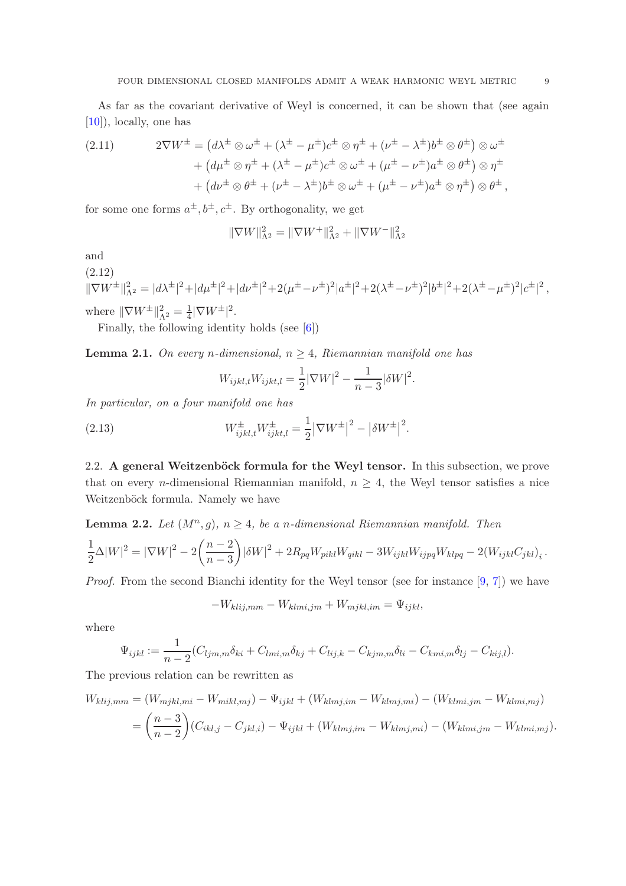As far as the covariant derivative of Weyl is concerned, it can be shown that (see again [\[10\]](#page-29-5)), locally, one has

<span id="page-8-3"></span>(2.11) 
$$
2\nabla W^{\pm} = (d\lambda^{\pm} \otimes \omega^{\pm} + (\lambda^{\pm} - \mu^{\pm})c^{\pm} \otimes \eta^{\pm} + (\nu^{\pm} - \lambda^{\pm})b^{\pm} \otimes \theta^{\pm}) \otimes \omega^{\pm} + (d\mu^{\pm} \otimes \eta^{\pm} + (\lambda^{\pm} - \mu^{\pm})c^{\pm} \otimes \omega^{\pm} + (\mu^{\pm} - \nu^{\pm})a^{\pm} \otimes \theta^{\pm}) \otimes \eta^{\pm} + (d\nu^{\pm} \otimes \theta^{\pm} + (\nu^{\pm} - \lambda^{\pm})b^{\pm} \otimes \omega^{\pm} + (\mu^{\pm} - \nu^{\pm})a^{\pm} \otimes \eta^{\pm}) \otimes \theta^{\pm},
$$

for some one forms  $a^{\pm}, b^{\pm}, c^{\pm}$ . By orthogonality, we get

$$
\|\nabla W\|_{\Lambda^2}^2 = \|\nabla W^+\|_{\Lambda^2}^2 + \|\nabla W^-\|_{\Lambda^2}^2
$$

and

<span id="page-8-2"></span>(2.12)  $\|\nabla W^{\pm}\|_{\Lambda^2}^2 = |d\lambda^{\pm}|^2 + |d\mu^{\pm}|^2 + |d\nu^{\pm}|^2 + 2(\mu^{\pm} - \nu^{\pm})^2 |a^{\pm}|^2 + 2(\lambda^{\pm} - \nu^{\pm})^2 |b^{\pm}|^2 + 2(\lambda^{\pm} - \mu^{\pm})^2 |c^{\pm}|^2,$ where  $\|\nabla W^{\pm}\|_{\Lambda^2}^2 = \frac{1}{4}$  $\frac{1}{4}|\nabla W^{\pm}|^2.$ 

Finally, the following identity holds (see [\[6\]](#page-29-12))

<span id="page-8-1"></span>**Lemma 2.1.** On every *n*-dimensional,  $n > 4$ , Riemannian manifold one has

$$
W_{ijkl,t}W_{ijkl,t} = \frac{1}{2}|\nabla W|^2 - \frac{1}{n-3}|\delta W|^2.
$$

*In particular, on a four manifold one has*

(2.13) 
$$
W_{ijkl,t}^{\pm} W_{ijkl,t}^{\pm} = \frac{1}{2} |\nabla W^{\pm}|^2 - |\delta W^{\pm}|^2.
$$

2.2. A general Weitzenböck formula for the Weyl tensor. In this subsection, we prove that on every *n*-dimensional Riemannian manifold,  $n \geq 4$ , the Weyl tensor satisfies a nice Weitzenböck formula. Namely we have

<span id="page-8-0"></span>**Lemma 2.2.** Let 
$$
(M^n, g)
$$
,  $n \ge 4$ , be a *n*-dimensional Riemannian manifold. Then  
\n
$$
\frac{1}{2}\Delta |W|^2 = |\nabla W|^2 - 2\left(\frac{n-2}{n-3}\right)|\delta W|^2 + 2R_{pq}W_{pikl}W_{qikl} - 3W_{ijkl}W_{ijpq}W_{klpq} - 2(W_{ijkl}C_{jkl})_i.
$$

*Proof.* From the second Bianchi identity for the Weyl tensor (see for instance [\[9,](#page-29-8) [7\]](#page-29-13)) we have

$$
-W_{klij,mm} - W_{klmi,jm} + W_{mjkl,im} = \Psi_{ijkl},
$$

where

$$
\Psi_{ijkl} := \frac{1}{n-2} (C_{ljm,m} \delta_{ki} + C_{lmi,m} \delta_{kj} + C_{lij,k} - C_{kjm,m} \delta_{li} - C_{kmi,m} \delta_{lj} - C_{kij,l}).
$$

The previous relation can be rewritten as

$$
W_{klij,mm} = (W_{mjkl,mi} - W_{mikl,mj}) - \Psi_{ijkl} + (W_{klmj,im} - W_{klmj,mi}) - (W_{klmi,jm} - W_{klmi,mj})
$$
  
= 
$$
\left(\frac{n-3}{n-2}\right) (C_{ikl,j} - C_{jkl,i}) - \Psi_{ijkl} + (W_{klmj,im} - W_{klmj,mi}) - (W_{klmi,jm} - W_{klmi,mj}).
$$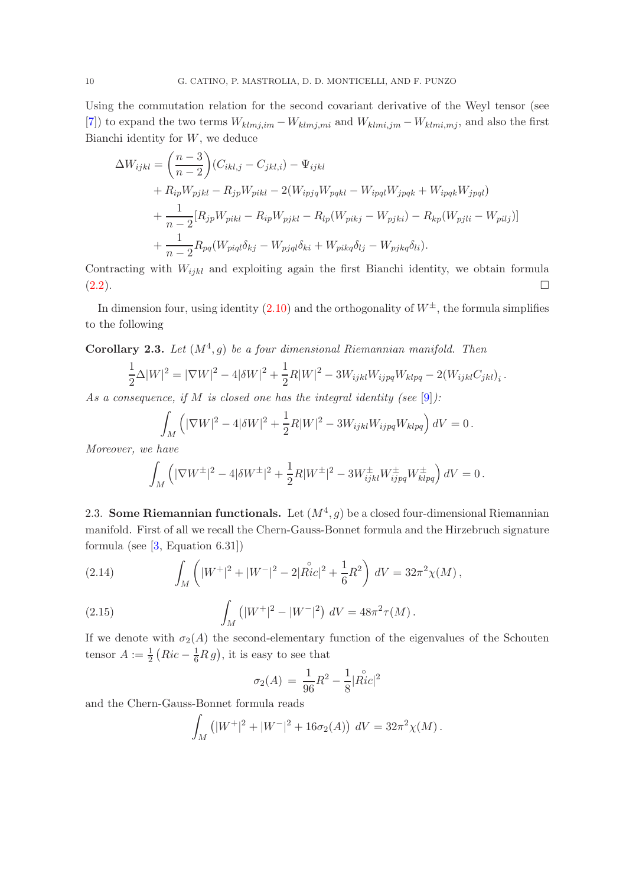Using the commutation relation for the second covariant derivative of the Weyl tensor (see [\[7\]](#page-29-13)) to expand the two terms  $W_{klmj,im} - W_{klmj,mi}$  and  $W_{klmi,jm} - W_{klmi,mj}$ , and also the first Bianchi identity for  $W$ , we deduce

$$
\Delta W_{ijkl} = \left(\frac{n-3}{n-2}\right) (C_{ikl,j} - C_{jkl,i}) - \Psi_{ijkl} \n+ R_{ip} W_{pjkl} - R_{jp} W_{pikl} - 2(W_{ipjq} W_{pqkl} - W_{ipql} W_{jpqk} + W_{ipqk} W_{jpql}) \n+ \frac{1}{n-2} [R_{jp} W_{pikl} - R_{ip} W_{pjkl} - R_{lp} (W_{pikj} - W_{pjki}) - R_{kp} (W_{pjli} - W_{pilj})] \n+ \frac{1}{n-2} R_{pq} (W_{piql} \delta_{kj} - W_{pjql} \delta_{ki} + W_{pikq} \delta_{lj} - W_{pjkq} \delta_{li}).
$$

Contracting with  $W_{ijkl}$  and exploiting again the first Bianchi identity, we obtain formula  $(2.2).$  $(2.2).$ 

In dimension four, using identity  $(2.10)$  and the orthogonality of  $W^{\pm}$ , the formula simplifies to the following

<span id="page-9-0"></span>**Corollary 2.3.** Let  $(M^4, g)$  be a four dimensional Riemannian manifold. Then

$$
\frac{1}{2}\Delta |W|^2 = |\nabla W|^2 - 4|\delta W|^2 + \frac{1}{2}R|W|^2 - 3W_{ijkl}W_{ijpq}W_{klpq} - 2(W_{ijkl}C_{jkl})_i.
$$

*As a consequence, if* M *is closed one has the integral identity (see* [\[9\]](#page-29-8)*):*

$$
\int_M \left( |\nabla W|^2 - 4|\delta W|^2 + \frac{1}{2}R|W|^2 - 3W_{ijkl}W_{ijpq}W_{klpq} \right) dV = 0.
$$

*Moreover, we have*

$$
\int_M \left( |\nabla W^{\pm}|^2 - 4|\delta W^{\pm}|^2 + \frac{1}{2}R|W^{\pm}|^2 - 3W^{\pm}_{ijkl}W^{\pm}_{ijpq}W^{\pm}_{klpq} \right) dV = 0.
$$

2.3. Some Riemannian functionals. Let  $(M^4, g)$  be a closed four-dimensional Riemannian manifold. First of all we recall the Chern-Gauss-Bonnet formula and the Hirzebruch signature formula (see  $[3,$  Equation 6.31])

(2.14) 
$$
\int_M \left( |W^+|^2 + |W^-|^2 - 2|\stackrel{\circ}{Ric}|^2 + \frac{1}{6}R^2 \right) dV = 32\pi^2 \chi(M),
$$

(2.15) 
$$
\int_M (|W^+|^2 - |W^-|^2) dV = 48\pi^2 \tau(M).
$$

If we denote with  $\sigma_2(A)$  the second-elementary function of the eigenvalues of the Schouten tensor  $A := \frac{1}{2} (Ric - \frac{1}{6}R g)$ , it is easy to see that

<span id="page-9-1"></span>
$$
\sigma_2(A) = \frac{1}{96}R^2 - \frac{1}{8}|\overset{\circ}{Ric}|^2
$$

and the Chern-Gauss-Bonnet formula reads

$$
\int_M (|W^+|^2 + |W^-|^2 + 16\sigma_2(A)) \, dV = 32\pi^2 \chi(M).
$$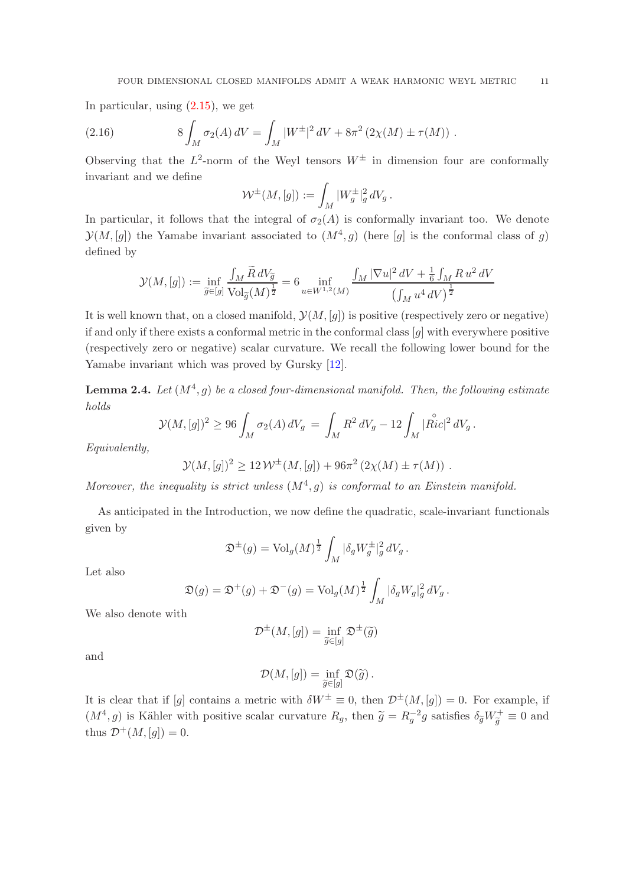In particular, using  $(2.15)$ , we get

(2.16) 
$$
8 \int_M \sigma_2(A) dV = \int_M |W^{\pm}|^2 dV + 8\pi^2 (2\chi(M) \pm \tau(M)).
$$

Observing that the  $L^2$ -norm of the Weyl tensors  $W^{\pm}$  in dimension four are conformally invariant and we define

$$
\mathcal{W}^{\pm}(M,[g]) := \int_M |W_g^{\pm}|_g^2 dV_g.
$$

In particular, it follows that the integral of  $\sigma_2(A)$  is conformally invariant too. We denote  $\mathcal{Y}(M,[g])$  the Yamabe invariant associated to  $(M^4, g)$  (here  $[g]$  is the conformal class of g) defined by

$$
\mathcal{Y}(M,[g]) := \inf_{\widetilde{g} \in [g]} \frac{\int_{M} \widetilde{R} dV_{\widetilde{g}}}{\text{Vol}_{\widetilde{g}}(M)^{\frac{1}{2}}} = 6 \inf_{u \in W^{1,2}(M)} \frac{\int_{M} |\nabla u|^{2} dV + \frac{1}{6} \int_{M} R u^{2} dV}{\left(\int_{M} u^{4} dV\right)^{\frac{1}{2}}}
$$

It is well known that, on a closed manifold,  $\mathcal{Y}(M,[g])$  is positive (respectively zero or negative) if and only if there exists a conformal metric in the conformal class [g] with everywhere positive (respectively zero or negative) scalar curvature. We recall the following lower bound for the Yamabe invariant which was proved by Gursky [\[12\]](#page-29-14).

<span id="page-10-0"></span>**Lemma 2.4.** Let  $(M^4, g)$  be a closed four-dimensional manifold. Then, the following estimate *holds*

$$
\mathcal{Y}(M,[g])^2 \ge 96 \int_M \sigma_2(A) dV_g = \int_M R^2 dV_g - 12 \int_M |\overset{\circ}{Ric}|^2 dV_g.
$$

*Equivalently,*

$$
\mathcal{Y}(M,[g])^2 \ge 12 \mathcal{W}^{\pm}(M,[g]) + 96\pi^2 (2\chi(M) \pm \tau(M)).
$$

Moreover, the inequality is strict unless  $(M^4, g)$  is conformal to an Einstein manifold.

As anticipated in the Introduction, we now define the quadratic, scale-invariant functionals given by

$$
\mathfrak{D}^{\pm}(g) = \text{Vol}_g(M)^{\frac{1}{2}} \int_M |\delta_g W_g^{\pm}|_g^2 dV_g.
$$

Let also

$$
\mathfrak{D}(g) = \mathfrak{D}^+(g) + \mathfrak{D}^-(g) = \text{Vol}_g(M)^{\frac{1}{2}} \int_M |\delta_g W_g|_g^2 dV_g.
$$

We also denote with

$$
\mathcal{D}^{\pm}(M,[g])=\inf_{\widetilde{g}\in[g]}\mathfrak{D}^{\pm}(\widetilde{g})
$$

and

$$
\mathcal{D}(M,[g]) = \inf_{\widetilde{g} \in [g]} \mathfrak{D}(\widetilde{g}) .
$$

It is clear that if [g] contains a metric with  $\delta W^{\pm} \equiv 0$ , then  $\mathcal{D}^{\pm}(M,[g]) = 0$ . For example, if  $(M^4, g)$  is Kähler with positive scalar curvature  $R_g$ , then  $\tilde{g} = R_g^{-2}g$  satisfies  $\delta_{\tilde{g}} W_{\tilde{g}}^+ \equiv 0$  and thus  $\mathcal{D}^+(M, [g]) = 0$ .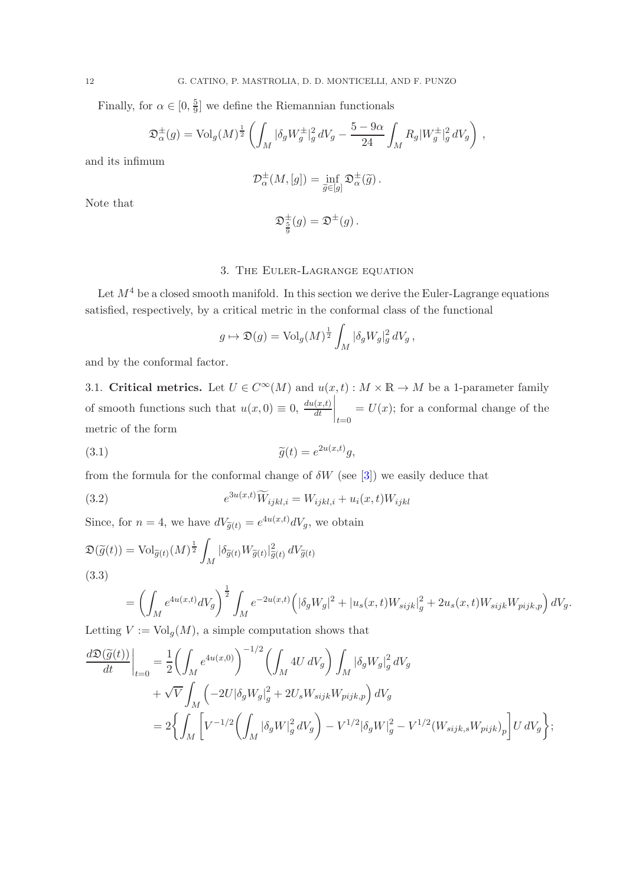Finally, for  $\alpha \in [0, \frac{5}{9}]$  $\frac{5}{9}$  we define the Riemannian functionals

$$
\mathfrak{D}_{\alpha}^{\pm}(g) = \text{Vol}_g(M)^{\frac{1}{2}} \left( \int_M |\delta_g W_g^{\pm}|_g^2 dV_g - \frac{5 - 9\alpha}{24} \int_M R_g |W_g^{\pm}|_g^2 dV_g \right),
$$

and its infimum

$$
\mathcal{D}_{\alpha}^{\pm}(M,[g]) = \inf_{\widetilde{g} \in [g]} \mathfrak{D}_{\alpha}^{\pm}(\widetilde{g}) .
$$

Note that

$$
\mathfrak{D}_{\frac{5}{9}}^{\pm}(g)=\mathfrak{D}^{\pm}(g)\,.
$$

# 3. The Euler-Lagrange equation

<span id="page-11-1"></span>Let  $M^4$  be a closed smooth manifold. In this section we derive the Euler-Lagrange equations satisfied, respectively, by a critical metric in the conformal class of the functional

$$
g \mapsto \mathfrak{D}(g) = \text{Vol}_g(M)^{\frac{1}{2}} \int_M |\delta_g W_g|_g^2 dV_g,
$$

<span id="page-11-0"></span>and by the conformal factor.

3.1. Critical metrics. Let  $U \in C^{\infty}(M)$  and  $u(x,t) : M \times \mathbb{R} \to M$  be a 1-parameter family of smooth functions such that  $u(x, 0) \equiv 0$ ,  $\frac{du(x,t)}{dt}$  $\Bigg|_{t=0}$  $= U(x)$ ; for a conformal change of the metric of the form

(3.1) 
$$
\widetilde{g}(t) = e^{2u(x,t)}g,
$$

from the formula for the conformal change of  $\delta W$  (see [\[3\]](#page-29-0)) we easily deduce that

(3.2) 
$$
e^{3u(x,t)}\widetilde{W}_{ijkl,i} = W_{ijkl,i} + u_i(x,t)W_{ijkl}
$$

Since, for  $n = 4$ , we have  $dV_{\tilde{g}(t)} = e^{4u(x,t)} dV_g$ , we obtain

<span id="page-11-2"></span>
$$
\mathfrak{D}(\widetilde{g}(t)) = \text{Vol}_{\widetilde{g}(t)}(M)^{\frac{1}{2}} \int_M |\delta_{\widetilde{g}(t)} W_{\widetilde{g}(t)}|_{\widetilde{g}(t)}^2 dV_{\widetilde{g}(t)}
$$
\n(3.3)

$$
= \left(\int_M e^{4u(x,t)}dV_g\right)^{\frac{1}{2}}\int_M e^{-2u(x,t)}\left(|\delta_g W_g|^2 + |u_s(x,t)W_{sijk}|_g^2 + 2u_s(x,t)W_{sijk}W_{pijk,p}\right)dV_g.
$$

Letting  $V := \text{Vol}_g(M)$ , a simple computation shows that

$$
\begin{split} \left. \frac{d \mathfrak{D}(\widetilde{g}(t))}{dt}\right|_{t=0} & = \frac{1}{2} \biggl(\int_M e^{4u(x,0)}\biggr)^{-1/2} \biggl(\int_M 4U\,dV_g\biggr) \int_M |\delta_g W_g|^2_g\,dV_g \\ & \quad + \sqrt{V} \int_M \Bigl(-2U|\delta_g W_g|^2_g + 2U_s W_{sijk} W_{pijk,p}\Bigr)\,dV_g \\ & = 2 \biggl\{\int_M \biggl[V^{-1/2} \biggl(\int_M |\delta_g W|^2_g\,dV_g\biggr) - V^{1/2}|\delta_g W|^2_g - V^{1/2} \bigl(W_{sijk,s} W_{pijk} \bigr)_p \biggr] U\,dV_g\biggr\}; \end{split}
$$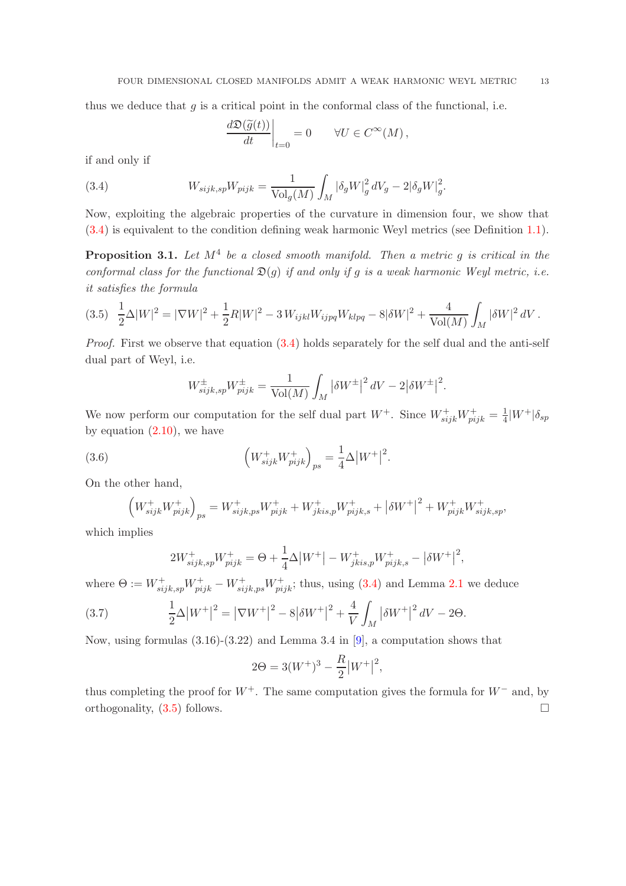thus we deduce that  $g$  is a critical point in the conformal class of the functional, i.e.

<span id="page-12-0"></span>
$$
\left.\frac{d\mathfrak{D}(\widetilde{g}(t))}{dt}\right|_{t=0}=0\qquad \forall U\in C^\infty(M)\,,
$$

if and only if

(3.4) 
$$
W_{sijk,sp}W_{pijk} = \frac{1}{\text{Vol}_g(M)} \int_M |\delta_g W|_g^2 dV_g - 2|\delta_g W|_g^2.
$$

Now, exploiting the algebraic properties of the curvature in dimension four, we show that [\(3.4\)](#page-12-0) is equivalent to the condition defining weak harmonic Weyl metrics (see Definition [1.1\)](#page-2-3).

Proposition 3.1. *Let* M<sup>4</sup> *be a closed smooth manifold. Then a metric* g *is critical in the conformal class for the functional*  $\mathfrak{D}(q)$  *if and only if* q *is a weak harmonic Weyl metric, i.e. it satisfies the formula*

<span id="page-12-1"></span>
$$
(3.5)\quad \frac{1}{2}\Delta |W|^2 = |\nabla W|^2 + \frac{1}{2}R|W|^2 - 3\,W_{ijkl}W_{ijpq}W_{klpq} - 8|\delta W|^2 + \frac{4}{\text{Vol}(M)}\int_M |\delta W|^2\,dV\,.
$$

*Proof.* First we observe that equation  $(3.4)$  holds separately for the self dual and the anti-self dual part of Weyl, i.e.

$$
W_{sijk,sp}^{\pm}W_{pijk}^{\pm} = \frac{1}{\text{Vol}(M)} \int_M |\delta W^{\pm}|^2 dV - 2|\delta W^{\pm}|^2.
$$

We now perform our computation for the self dual part  $W^+$ . Since  $W^+_{sijk}W^+_{pijk} = \frac{1}{4}$  $\frac{1}{4}|W^+|\delta_{sp}$ by equation  $(2.10)$ , we have

(3.6) 
$$
\left(W_{sijk}^+ W_{pijk}^+\right)_{ps} = \frac{1}{4} \Delta |W^+|^2.
$$

On the other hand,

$$
\left(W^{+}_{sijk}W^{+}_{pijk}\right)_{ps} = W^{+}_{sijk,ps}W^{+}_{pijk} + W^{+}_{jkis,p}W^{+}_{pijk,s} + \left|\delta W^{+}\right|^{2} + W^{+}_{pijk}W^{+}_{sijk,sp},
$$

which implies

$$
2W_{sijk,sp}^+W_{pijk}^+ = \Theta + \frac{1}{4}\Delta|W^+| - W_{jkis,p}^+W_{pijk,s}^+ - |\delta W^+|^2,
$$

where  $\Theta := W_{sijk,sp}^+ W_{pijk}^+ - W_{sijk,ps}^+ W_{pijk}^+$ ; thus, using [\(3.4\)](#page-12-0) and Lemma [2.1](#page-8-1) we deduce

(3.7) 
$$
\frac{1}{2}\Delta |W^+|^2 = |\nabla W^+|^2 - 8|\delta W^+|^2 + \frac{4}{V}\int_M |\delta W^+|^2 dV - 2\Theta.
$$

Now, using formulas  $(3.16)-(3.22)$  and Lemma 3.4 in [\[9\]](#page-29-8), a computation shows that

$$
2\Theta = 3(W^+)^3 - \frac{R}{2}|W^+|^2,
$$

thus completing the proof for  $W^+$ . The same computation gives the formula for  $W^-$  and, by orthogonality,  $(3.5)$  follows.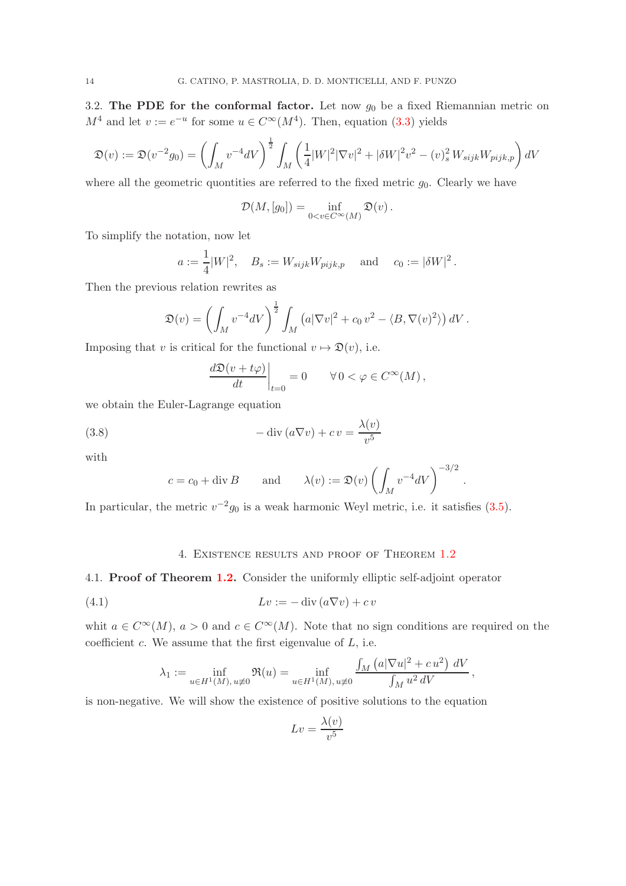3.2. The PDE for the conformal factor. Let now  $g_0$  be a fixed Riemannian metric on  $M^4$  and let  $v := e^{-u}$  for some  $u \in C^{\infty}(M^4)$ . Then, equation [\(3.3\)](#page-11-2) yields

$$
\mathfrak{D}(v) := \mathfrak{D}(v^{-2}g_0) = \left(\int_M v^{-4}dV\right)^{\frac{1}{2}} \int_M \left(\frac{1}{4}|W|^2|\nabla v|^2 + |\delta W|^2v^2 - (v)_s^2 W_{sijk}W_{pijk,p}\right) dV
$$

where all the geometric quontities are referred to the fixed metric  $g_0$ . Clearly we have

$$
\mathcal{D}(M,[g_0])=\inf_{0
$$

To simplify the notation, now let

$$
a := \frac{1}{4}|W|^2
$$
,  $B_s := W_{sijk}W_{pijk,p}$  and  $c_0 := |\delta W|^2$ .

Then the previous relation rewrites as

$$
\mathfrak{D}(v) = \left(\int_M v^{-4} dV\right)^{\frac{1}{2}} \int_M \left(a|\nabla v|^2 + c_0 v^2 - \langle B, \nabla(v)^2 \rangle\right) dV.
$$

Imposing that v is critical for the functional  $v \mapsto \mathfrak{D}(v)$ , i.e.

$$
\left. \frac{d\mathfrak{D}(v+t\varphi)}{dt} \right|_{t=0} = 0 \qquad \forall \, 0 < \varphi \in C^{\infty}(M) \,,
$$

we obtain the Euler-Lagrange equation

(3.8) 
$$
-\operatorname{div}\left(a\nabla v\right) + c v = \frac{\lambda(v)}{v^5}
$$

with

$$
c = c_0 + \text{div } B
$$
 and  $\lambda(v) := \mathfrak{D}(v) \left( \int_M v^{-4} dV \right)^{-3/2}$ 

.

<span id="page-13-0"></span>In particular, the metric  $v^{-2}g_0$  is a weak harmonic Weyl metric, i.e. it satisfies [\(3.5\)](#page-12-1).

## 4. Existence results and proof of Theorem [1.2](#page-2-2)

4.1. Proof of Theorem [1.2.](#page-2-2) Consider the uniformly elliptic self-adjoint operator

(4.1) 
$$
Lv := -\operatorname{div}\left(a\nabla v\right) + cv
$$

whit  $a \in C^{\infty}(M)$ ,  $a > 0$  and  $c \in C^{\infty}(M)$ . Note that no sign conditions are required on the coefficient  $c$ . We assume that the first eigenvalue of  $L$ , i.e.

$$
\lambda_1 := \inf_{u \in H^1(M), u \neq 0} \Re(u) = \inf_{u \in H^1(M), u \neq 0} \frac{\int_M (a|\nabla u|^2 + c u^2) dV}{\int_M u^2 dV},
$$

is non-negative. We will show the existence of positive solutions to the equation

$$
Lv = \frac{\lambda(v)}{v^5}
$$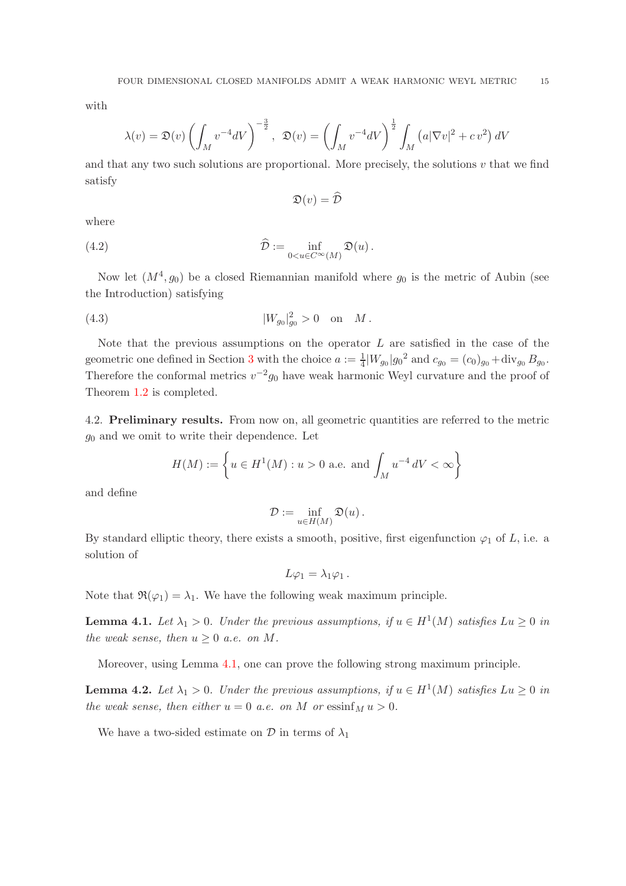with

$$
\lambda(v) = \mathfrak{D}(v) \left( \int_M v^{-4} dV \right)^{-\frac{3}{2}}, \quad \mathfrak{D}(v) = \left( \int_M v^{-4} dV \right)^{\frac{1}{2}} \int_M \left( a|\nabla v|^2 + cv^2 \right) dV
$$

and that any two such solutions are proportional. More precisely, the solutions  $v$  that we find satisfy

$$
\mathfrak{D}(v) = \widehat{\mathcal{D}}
$$

where

(4.2) 
$$
\widehat{\mathcal{D}} := \inf_{0 < u \in C^{\infty}(M)} \mathfrak{D}(u) \, .
$$

Now let  $(M^4, g_0)$  be a closed Riemannian manifold where  $g_0$  is the metric of Aubin (see the Introduction) satisfying

(4.3) 
$$
|W_{g_0}|^2_{g_0} > 0
$$
 on  $M$ .

Note that the previous assumptions on the operator  $L$  are satisfied in the case of the geometric one defined in Section [3](#page-11-1) with the choice  $a := \frac{1}{4} |W_{g_0}| g_0^2$  and  $c_{g_0} = (c_0)_{g_0} + \text{div}_{g_0} B_{g_0}$ . Therefore the conformal metrics  $v^{-2}g_0$  have weak harmonic Weyl curvature and the proof of Theorem [1.2](#page-2-2) is completed.

4.2. Preliminary results. From now on, all geometric quantities are referred to the metric  $g_0$  and we omit to write their dependence. Let

$$
H(M) := \left\{ u \in H^1(M) : u > 0 \text{ a.e. and } \int_M u^{-4} dV < \infty \right\}
$$

and define

$$
\mathcal{D} := \inf_{u \in H(M)} \mathfrak{D}(u) \, .
$$

By standard elliptic theory, there exists a smooth, positive, first eigenfunction  $\varphi_1$  of L, i.e. a solution of

$$
L\varphi_1=\lambda_1\varphi_1.
$$

Note that  $\Re(\varphi_1) = \lambda_1$ . We have the following weak maximum principle.

<span id="page-14-0"></span>**Lemma 4.1.** Let  $\lambda_1 > 0$ . Under the previous assumptions, if  $u \in H^1(M)$  satisfies  $Lu \geq 0$  in *the weak sense, then*  $u \geq 0$  *a.e.* on M.

Moreover, using Lemma [4.1,](#page-14-0) one can prove the following strong maximum principle.

<span id="page-14-1"></span>**Lemma 4.2.** Let  $\lambda_1 > 0$ . Under the previous assumptions, if  $u \in H^1(M)$  satisfies  $Lu \geq 0$  in *the weak sense, then either*  $u = 0$  *a.e.* on M or essinf<sub>M</sub>  $u > 0$ .

We have a two-sided estimate on  $\mathcal{D}$  in terms of  $\lambda_1$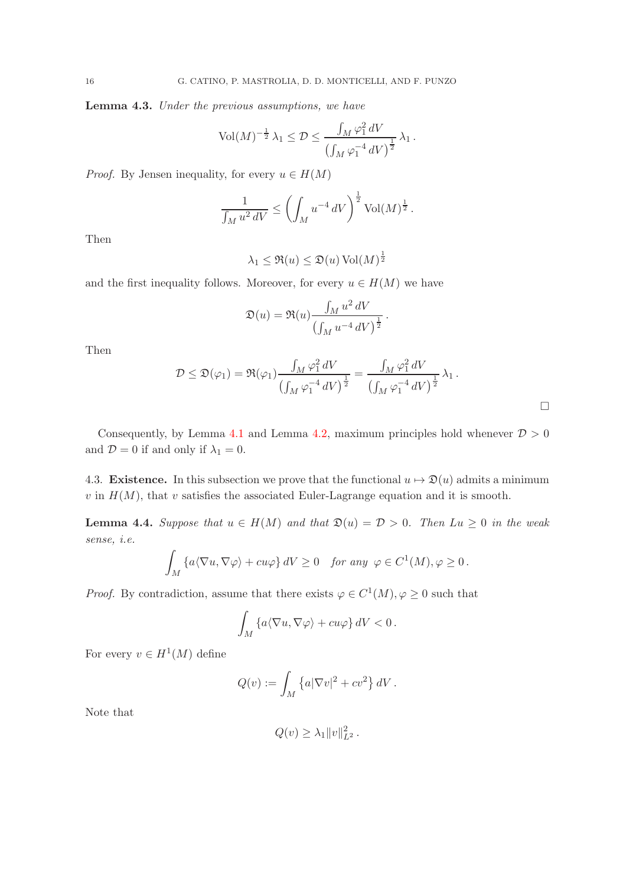<span id="page-15-1"></span>Lemma 4.3. *Under the previous assumptions, we have*

$$
\text{Vol}(M)^{-\frac{1}{2}}\,\lambda_1 \leq \mathcal{D} \leq \frac{\int_M \varphi_1^2 \,dV}{\left(\int_M \varphi_1^{-4} \,dV\right)^{\frac{1}{2}}}\,\lambda_1\,.
$$

*Proof.* By Jensen inequality, for every  $u \in H(M)$ 

$$
\frac{1}{\int_M u^2 dV} \le \left( \int_M u^{-4} dV \right)^{\frac{1}{2}} \text{Vol}(M)^{\frac{1}{2}}.
$$

Then

$$
\lambda_1 \leq \Re(u) \leq \mathfrak{D}(u) \operatorname{Vol}(M)^{\frac{1}{2}}
$$

and the first inequality follows. Moreover, for every  $u \in H(M)$  we have

$$
\mathfrak{D}(u)=\mathfrak{R}(u)\frac{\int_M u^2\,dV}{\left(\int_M u^{-4}\,dV\right)^{\frac{1}{2}}}
$$

Then

$$
\mathcal{D}\leq \mathfrak{D}(\varphi_1)=\mathfrak{R}(\varphi_1)\frac{\int_M \varphi_1^2\,dV}{\left(\int_M \varphi_1^{-4}\,dV\right)^{\frac{1}{2}}}=\frac{\int_M \varphi_1^2\,dV}{\left(\int_M \varphi_1^{-4}\,dV\right)^{\frac{1}{2}}}\,\lambda_1\,.
$$

.

 $\Box$ 

Consequently, by Lemma [4.1](#page-14-0) and Lemma [4.2,](#page-14-1) maximum principles hold whenever  $D > 0$ and  $\mathcal{D} = 0$  if and only if  $\lambda_1 = 0$ .

4.3. **Existence.** In this subsection we prove that the functional  $u \mapsto \mathfrak{D}(u)$  admits a minimum  $v$  in  $H(M)$ , that  $v$  satisfies the associated Euler-Lagrange equation and it is smooth.

<span id="page-15-0"></span>**Lemma 4.4.** Suppose that  $u \in H(M)$  and that  $\mathfrak{D}(u) = \mathcal{D} > 0$ . Then  $Lu \geq 0$  in the weak *sense, i.e.*

$$
\int_M \left\{ a \langle \nabla u, \nabla \varphi \rangle + cu\varphi \right\} dV \ge 0 \quad \text{for any } \varphi \in C^1(M), \varphi \ge 0 \, .
$$

*Proof.* By contradiction, assume that there exists  $\varphi \in C^1(M)$ ,  $\varphi \geq 0$  such that

$$
\int_M \left\{ a \langle \nabla u, \nabla \varphi \rangle + cu\varphi \right\} dV < 0.
$$

For every  $v \in H^1(M)$  define

$$
Q(v) := \int_M \left\{ a|\nabla v|^2 + cv^2 \right\} dV.
$$

Note that

$$
Q(v) \geq \lambda_1 \|v\|_{L^2}^2.
$$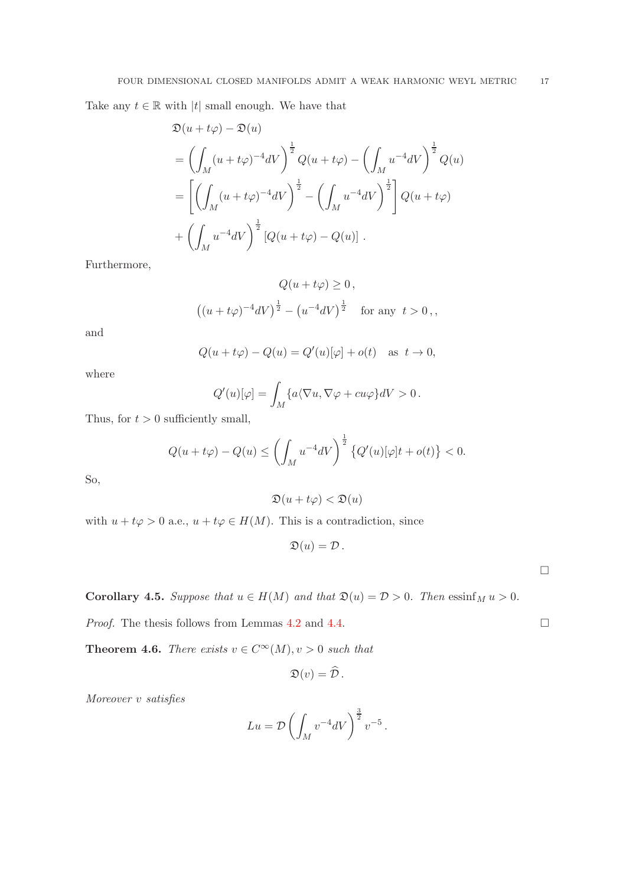Take any  $t \in \mathbb{R}$  with |t| small enough. We have that

$$
\mathfrak{D}(u+t\varphi) - \mathfrak{D}(u)
$$
\n
$$
= \left( \int_M (u+t\varphi)^{-4} dV \right)^{\frac{1}{2}} Q(u+t\varphi) - \left( \int_M u^{-4} dV \right)^{\frac{1}{2}} Q(u)
$$
\n
$$
= \left[ \left( \int_M (u+t\varphi)^{-4} dV \right)^{\frac{1}{2}} - \left( \int_M u^{-4} dV \right)^{\frac{1}{2}} \right] Q(u+t\varphi)
$$
\n
$$
+ \left( \int_M u^{-4} dV \right)^{\frac{1}{2}} [Q(u+t\varphi) - Q(u)] .
$$

Furthermore,

$$
Q(u + t\varphi) \ge 0,
$$
  

$$
((u + t\varphi)^{-4}dV)^{\frac{1}{2}} - (u^{-4}dV)^{\frac{1}{2}} \text{ for any } t > 0,
$$

and

$$
Q(u + t\varphi) - Q(u) = Q'(u)[\varphi] + o(t) \quad \text{as} \ \ t \to 0,
$$

where

$$
Q'(u)[\varphi] = \int_M \{a \langle \nabla u, \nabla \varphi + cu\varphi \} dV > 0.
$$

Thus, for  $t > 0$  sufficiently small,

$$
Q(u+t\varphi) - Q(u) \le \left(\int_M u^{-4}dV\right)^{\frac{1}{2}} \left\{Q'(u)[\varphi]t + o(t)\right\} < 0.
$$

So,

$$
\mathfrak{D}(u+t\varphi)<\mathfrak{D}(u)
$$

with  $u + t\varphi > 0$  a.e.,  $u + t\varphi \in H(M)$ . This is a contradiction, since

 $\mathfrak{D}(u) = \mathcal{D}$ .

**Corollary 4.5.** *Suppose that*  $u \in H(M)$  *and that*  $\mathfrak{D}(u) = \mathcal{D} > 0$ *. Then*  $\operatorname{essinf}_M u > 0$ *.* 

*Proof.* The thesis follows from Lemmas [4.2](#page-14-1) and [4.4.](#page-15-0)  $\Box$ 

<span id="page-16-0"></span>**Theorem 4.6.** *There exists*  $v \in C^{\infty}(M)$ ,  $v > 0$  *such that* 

$$
\mathfrak{D}(v)=\widehat{\mathcal{D}}\,.
$$

*Moreover* v *satisfies*

$$
Lu = \mathcal{D}\left(\int_M v^{-4}dV\right)^{\frac{3}{2}}v^{-5}.
$$

 $\Box$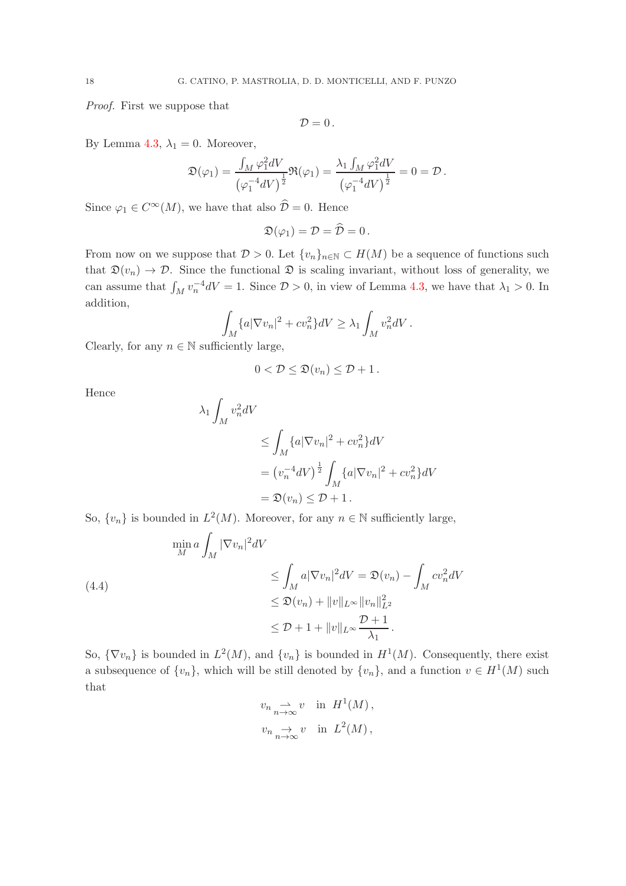*Proof.* First we suppose that

$$
\mathcal{D}=0\,.
$$

By Lemma [4.3,](#page-15-1)  $\lambda_1 = 0$ . Moreover,

$$
\mathfrak{D}(\varphi_1) = \frac{\int_M \varphi_1^2 dV}{\left(\varphi_1^{-4} dV\right)^{\frac{1}{2}}} \mathfrak{R}(\varphi_1) = \frac{\lambda_1 \int_M \varphi_1^2 dV}{\left(\varphi_1^{-4} dV\right)^{\frac{1}{2}}} = 0 = \mathcal{D}.
$$

Since  $\varphi_1 \in C^{\infty}(M)$ , we have that also  $\widehat{\mathcal{D}} = 0$ . Hence

$$
\mathfrak{D}(\varphi_1)=\mathcal{D}=\widehat{\mathcal{D}}=0\,.
$$

From now on we suppose that  $D > 0$ . Let  $\{v_n\}_{n \in \mathbb{N}} \subset H(M)$  be a sequence of functions such that  $\mathfrak{D}(v_n) \to \mathcal{D}$ . Since the functional  $\mathfrak{D}$  is scaling invariant, without loss of generality, we can assume that  $\int_M v_n^{-4} dV = 1$ . Since  $\mathcal{D} > 0$ , in view of Lemma [4.3,](#page-15-1) we have that  $\lambda_1 > 0$ . In addition,

$$
\int_M \{a|\nabla v_n|^2 + cv_n^2\}dV \ge \lambda_1 \int_M v_n^2 dV.
$$

Clearly, for any  $n \in \mathbb{N}$  sufficiently large,

$$
0 < \mathcal{D} \leq \mathfrak{D}(v_n) \leq \mathcal{D} + 1.
$$

Hence

$$
\lambda_1 \int_M v_n^2 dV
$$
  
\n
$$
\leq \int_M \{a |\nabla v_n|^2 + c v_n^2\} dV
$$
  
\n
$$
= (v_n^{-4} dV)^{\frac{1}{2}} \int_M \{a |\nabla v_n|^2 + c v_n^2\} dV
$$
  
\n
$$
= \mathfrak{D}(v_n) \leq \mathcal{D} + 1.
$$

So,  $\{v_n\}$  is bounded in  $L^2(M)$ . Moreover, for any  $n \in \mathbb{N}$  sufficiently large,

(4.4)  
\n
$$
\min_{M} a \int_{M} |\nabla v_{n}|^{2} dV
$$
\n
$$
\leq \int_{M} a |\nabla v_{n}|^{2} dV = \mathfrak{D}(v_{n}) - \int_{M} cv_{n}^{2} dV
$$
\n
$$
\leq \mathfrak{D}(v_{n}) + ||v||_{L^{\infty}} ||v_{n}||_{L^{2}}^{2}
$$
\n
$$
\leq \mathcal{D} + 1 + ||v||_{L^{\infty}} \frac{\mathcal{D} + 1}{\lambda_{1}}.
$$

So,  $\{\nabla v_n\}$  is bounded in  $L^2(M)$ , and  $\{v_n\}$  is bounded in  $H^1(M)$ . Consequently, there exist a subsequence of  $\{v_n\}$ , which will be still denoted by  $\{v_n\}$ , and a function  $v \in H^1(M)$  such that

$$
v_n \underset{n \to \infty}{\rightharpoonup} v \quad \text{in} \ \ H^1(M) \,,
$$
  

$$
v_n \underset{n \to \infty}{\rightharpoonup} v \quad \text{in} \ \ L^2(M) \,,
$$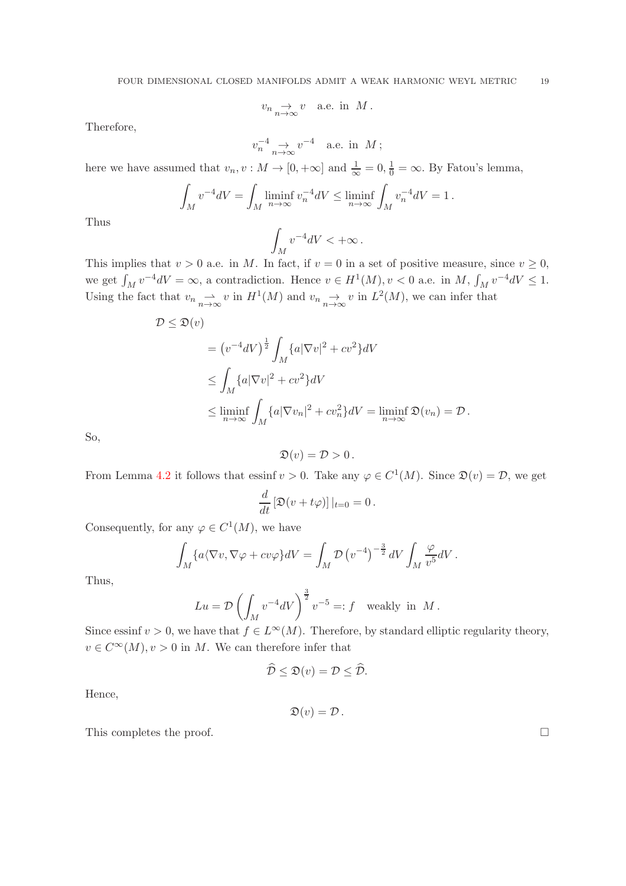$$
v_n \underset{n \to \infty}{\to} v
$$
 a.e. in M.

Therefore,

$$
v_n^{-4} \underset{n \to \infty}{\to} v^{-4}
$$
 a.e. in  $M$ ;

here we have assumed that  $v_n, v : M \to [0, +\infty]$  and  $\frac{1}{\infty} = 0, \frac{1}{0} = \infty$ . By Fatou's lemma,

$$
\int_M v^{-4}dV = \int_M \liminf_{n \to \infty} v_n^{-4}dV \le \liminf_{n \to \infty} \int_M v_n^{-4}dV = 1.
$$

Thus

$$
\int_M v^{-4}dV < +\infty \, .
$$

This implies that  $v > 0$  a.e. in M. In fact, if  $v = 0$  in a set of positive measure, since  $v \ge 0$ , we get  $\int_M v^{-4} dV = \infty$ , a contradiction. Hence  $v \in H^1(M)$ ,  $v < 0$  a.e. in M,  $\int_M v^{-4} dV \le 1$ . Using the fact that  $v_n \longrightarrow_{\infty} v$  in  $H^1(M)$  and  $v_n \longrightarrow_{\infty} v$  in  $L^2(M)$ , we can infer that

$$
\mathcal{D} \leq \mathfrak{D}(v)
$$
  
=  $(v^{-4}dV)^{\frac{1}{2}} \int_M \{a|\nabla v|^2 + cv^2\}dV$   

$$
\leq \int_M \{a|\nabla v|^2 + cv^2\}dV
$$
  

$$
\leq \liminf_{n \to \infty} \int_M \{a|\nabla v_n|^2 + cv_n^2\}dV = \liminf_{n \to \infty} \mathfrak{D}(v_n) = \mathcal{D}.
$$

So,

$$
\mathfrak{D}(v) = \mathcal{D} > 0 \, .
$$

From Lemma [4.2](#page-14-1) it follows that essinf  $v > 0$ . Take any  $\varphi \in C^1(M)$ . Since  $\mathfrak{D}(v) = \mathcal{D}$ , we get

$$
\frac{d}{dt}\left[\mathfrak{D}(v+t\varphi)\right]|_{t=0}=0.
$$

Consequently, for any  $\varphi \in C^1(M)$ , we have

$$
\int_M \{a \langle \nabla v, \nabla \varphi + c v \varphi \} dV = \int_M \mathcal{D} (v^{-4})^{-\frac{3}{2}} dV \int_M \frac{\varphi}{v^5} dV.
$$

Thus,

$$
Lu = \mathcal{D}\left(\int_M v^{-4}dV\right)^{\frac{3}{2}}v^{-5} =: f \quad \text{weakly in } M.
$$

Since essinf  $v > 0$ , we have that  $f \in L^{\infty}(M)$ . Therefore, by standard elliptic regularity theory,  $v \in C^{\infty}(M)$ ,  $v > 0$  in M. We can therefore infer that

$$
\widehat{\mathcal{D}} \leq \mathfrak{D}(v) = \mathcal{D} \leq \widehat{\mathcal{D}}.
$$

Hence,

$$
\mathfrak{D}(v)=\mathcal{D}\,.
$$

This completes the proof.  $\Box$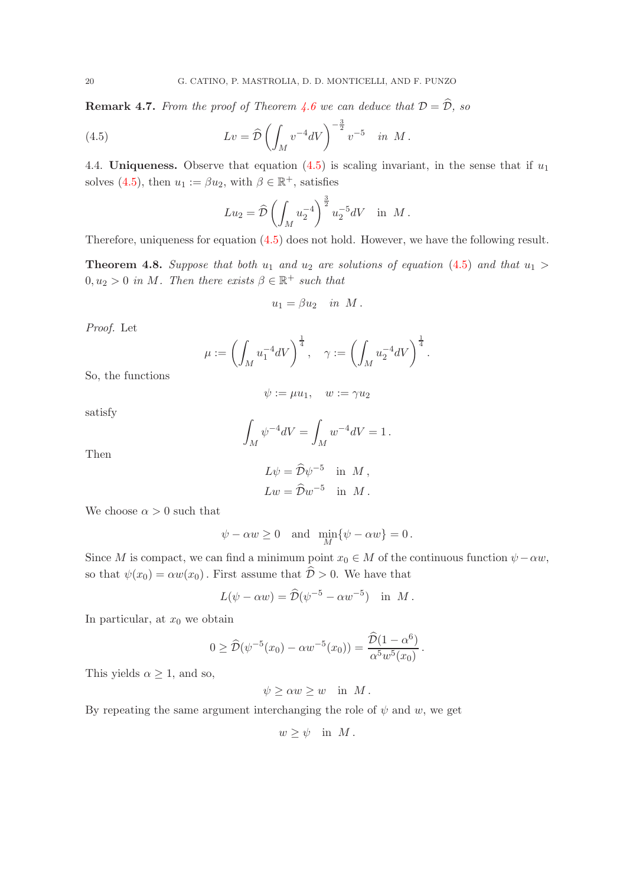**Remark 4.7.** *From the proof of Theorem [4.6](#page-16-0) we can deduce that*  $D = \hat{D}$ *, so* 

(4.5) 
$$
Lv = \hat{\mathcal{D}} \left( \int_M v^{-4} dV \right)^{-\frac{3}{2}} v^{-5} \quad in \ M.
$$

4.4. Uniqueness. Observe that equation  $(4.5)$  is scaling invariant, in the sense that if  $u_1$ solves [\(4.5\)](#page-19-0), then  $u_1 := \beta u_2$ , with  $\beta \in \mathbb{R}^+$ , satisfies

<span id="page-19-0"></span>
$$
Lu_2 = \hat{\mathcal{D}} \left( \int_M u_2^{-4} \right)^{\frac{3}{2}} u_2^{-5} dV \text{ in } M \,.
$$

Therefore, uniqueness for equation [\(4.5\)](#page-19-0) does not hold. However, we have the following result.

<span id="page-19-1"></span>**Theorem 4.8.** Suppose that both  $u_1$  and  $u_2$  are solutions of equation [\(4.5\)](#page-19-0) and that  $u_1 >$  $0, u_2 > 0$  *in M*. Then there exists  $\beta \in \mathbb{R}^+$  such that

$$
u_1 = \beta u_2 \quad in \; M \, .
$$

*Proof.* Let

$$
\mu:=\left(\int_M u_1^{-4}dV\right)^{\frac{1}{4}},\quad \gamma:=\left(\int_M u_2^{-4}dV\right)^{\frac{1}{4}}.
$$

So, the functions

$$
\psi := \mu u_1, \quad w := \gamma u_2
$$

satisfy

$$
\int_M \psi^{-4}dV = \int_M w^{-4}dV = 1.
$$

Then

$$
L\psi = \hat{\mathcal{D}}\psi^{-5} \text{ in } M ,
$$
  
\n
$$
Lw = \hat{\mathcal{D}}w^{-5} \text{ in } M .
$$

We choose  $\alpha > 0$  such that

$$
\psi - \alpha w \ge 0
$$
 and  $\min_M \{ \psi - \alpha w \} = 0$ .

Since M is compact, we can find a minimum point  $x_0 \in M$  of the continuous function  $\psi - \alpha w$ , so that  $\psi(x_0) = \alpha w(x_0)$ . First assume that  $\hat{\mathcal{D}} > 0$ . We have that

$$
L(\psi - \alpha w) = \widehat{\mathcal{D}}(\psi^{-5} - \alpha w^{-5}) \text{ in } M.
$$

In particular, at  $x_0$  we obtain

$$
0 \ge \widehat{\mathcal{D}}(\psi^{-5}(x_0) - \alpha w^{-5}(x_0)) = \frac{\widehat{\mathcal{D}}(1 - \alpha^6)}{\alpha^5 w^5(x_0)}.
$$

This yields  $\alpha > 1$ , and so,

$$
\psi \ge \alpha w \ge w \quad \text{in} \ \ M \, .
$$

By repeating the same argument interchanging the role of  $\psi$  and w, we get

$$
w \ge \psi \quad \text{in} \ \ M \ .
$$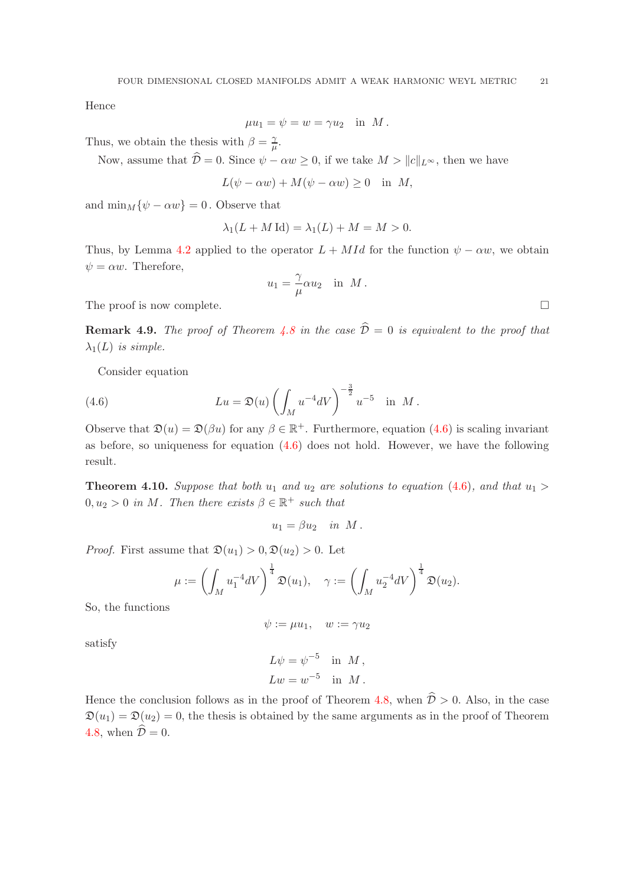Hence

$$
\mu u_1 = \psi = w = \gamma u_2 \quad \text{in} \ \ M \ .
$$

Thus, we obtain the thesis with  $\beta = \frac{2}{\mu}$  $\frac{\gamma}{\mu}.$ 

Now, assume that  $\hat{\mathcal{D}} = 0$ . Since  $\psi - \alpha w \geq 0$ , if we take  $M > ||c||_{L^{\infty}}$ , then we have

$$
L(\psi - \alpha w) + M(\psi - \alpha w) \ge 0 \quad \text{in} \ \ M,
$$

and  $\min_M {\psi - \alpha w} = 0$ . Observe that

$$
\lambda_1(L+M\operatorname{Id}) = \lambda_1(L) + M = M > 0.
$$

Thus, by Lemma [4.2](#page-14-1) applied to the operator  $L + M Id$  for the function  $\psi - \alpha w$ , we obtain  $\psi = \alpha w$ . Therefore,

$$
u_1 = \frac{\gamma}{\mu} \alpha u_2 \quad \text{in} \ \ M \ .
$$

The proof is now complete.  $\Box$ 

**Remark 4.9.** *The proof of Theorem [4.8](#page-19-1) in the case*  $\hat{\mathcal{D}} = 0$  *is equivalent to the proof that*  $\lambda_1(L)$  *is simple.* 

<span id="page-20-0"></span>Consider equation

(4.6) 
$$
Lu = \mathfrak{D}(u) \left( \int_M u^{-4} dV \right)^{-\frac{3}{2}} u^{-5} \text{ in } M.
$$

Observe that  $\mathfrak{D}(u) = \mathfrak{D}(\beta u)$  for any  $\beta \in \mathbb{R}^+$ . Furthermore, equation  $(4.6)$  is scaling invariant as before, so uniqueness for equation [\(4.6\)](#page-20-0) does not hold. However, we have the following result.

<span id="page-20-1"></span>**Theorem 4.10.** Suppose that both  $u_1$  and  $u_2$  are solutions to equation [\(4.6\)](#page-20-0), and that  $u_1 >$  $0, u_2 > 0$  *in M*. Then there exists  $\beta \in \mathbb{R}^+$  such that

$$
u_1 = \beta u_2 \quad in \; M \, .
$$

*Proof.* First assume that  $\mathfrak{D}(u_1) > 0$ ,  $\mathfrak{D}(u_2) > 0$ . Let

$$
\mu := \left(\int_M u_1^{-4}dV\right)^{\frac{1}{4}}\mathfrak{D}(u_1), \quad \gamma := \left(\int_M u_2^{-4}dV\right)^{\frac{1}{4}}\mathfrak{D}(u_2).
$$

So, the functions

$$
\psi := \mu u_1, \quad w := \gamma u_2
$$

satisfy

$$
L\psi = \psi^{-5} \quad \text{in} \quad M ,
$$
  

$$
Lw = w^{-5} \quad \text{in} \quad M .
$$

Hence the conclusion follows as in the proof of Theorem [4.8,](#page-19-1) when  $\hat{\mathcal{D}} > 0$ . Also, in the case  $\mathfrak{D}(u_1) = \mathfrak{D}(u_2) = 0$ , the thesis is obtained by the same arguments as in the proof of Theorem [4.8,](#page-19-1) when  $\hat{\mathcal{D}} = 0$ .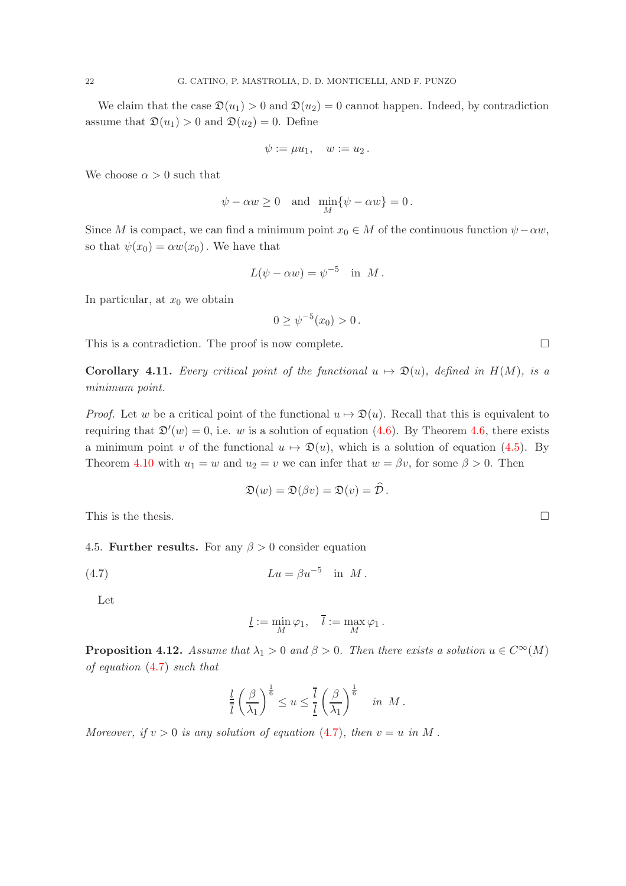We claim that the case  $\mathfrak{D}(u_1) > 0$  and  $\mathfrak{D}(u_2) = 0$  cannot happen. Indeed, by contradiction assume that  $\mathfrak{D}(u_1) > 0$  and  $\mathfrak{D}(u_2) = 0$ . Define

$$
\psi := \mu u_1, \quad w := u_2.
$$

We choose  $\alpha > 0$  such that

$$
\psi - \alpha w \ge 0
$$
 and  $\min_M {\psi - \alpha w} = 0$ .

Since M is compact, we can find a minimum point  $x_0 \in M$  of the continuous function  $\psi - \alpha w$ , so that  $\psi(x_0) = \alpha w(x_0)$ . We have that

$$
L(\psi - \alpha w) = \psi^{-5} \text{ in } M.
$$

In particular, at  $x_0$  we obtain

$$
0 \ge \psi^{-5}(x_0) > 0.
$$

This is a contradiction. The proof is now complete.  $\Box$ 

**Corollary 4.11.** *Every critical point of the functional*  $u \mapsto \mathfrak{D}(u)$ *, defined in*  $H(M)$ *, is a minimum point.*

*Proof.* Let w be a critical point of the functional  $u \mapsto \mathfrak{D}(u)$ . Recall that this is equivalent to requiring that  $\mathfrak{D}'(w) = 0$ , i.e. w is a solution of equation [\(4.6\)](#page-20-0). By Theorem [4.6,](#page-16-0) there exists a minimum point v of the functional  $u \mapsto \mathfrak{D}(u)$ , which is a solution of equation [\(4.5\)](#page-19-0). By Theorem [4.10](#page-20-1) with  $u_1 = w$  and  $u_2 = v$  we can infer that  $w = \beta v$ , for some  $\beta > 0$ . Then

$$
\mathfrak{D}(w) = \mathfrak{D}(\beta v) = \mathfrak{D}(v) = \widehat{\mathcal{D}}.
$$

This is the thesis.  $\Box$ 

4.5. Further results. For any  $\beta > 0$  consider equation

$$
(4.7) \t\t\t Lu = \beta u^{-5} \t\t in M.
$$

Let

<span id="page-21-0"></span>
$$
\underline{l} := \min_M \varphi_1, \quad \overline{l} := \max_M \varphi_1.
$$

<span id="page-21-1"></span>**Proposition 4.12.** *Assume that*  $\lambda_1 > 0$  *and*  $\beta > 0$ *. Then there exists a solution*  $u \in C^{\infty}(M)$ *of equation* [\(4.7\)](#page-21-0) *such that*

$$
\frac{l}{\overline{l}}\left(\frac{\beta}{\lambda_1}\right)^{\frac{1}{6}} \leq u \leq \frac{\overline{l}}{\underline{l}}\left(\frac{\beta}{\lambda_1}\right)^{\frac{1}{6}} \quad in \ M.
$$

*Moreover, if*  $v > 0$  *is any solution of equation* [\(4.7\)](#page-21-0)*, then*  $v = u$  *in* M.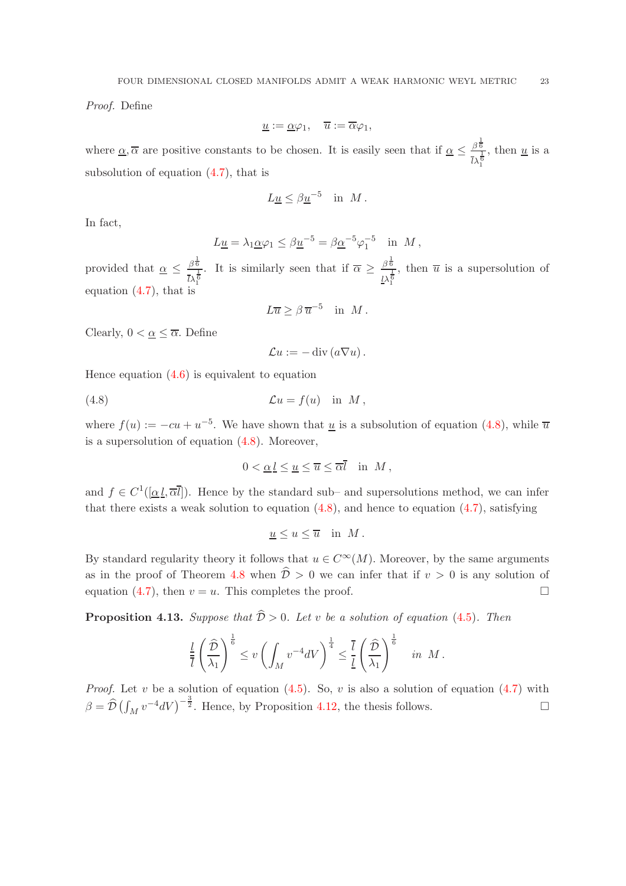*Proof.* Define

$$
\underline{u} := \underline{\alpha} \varphi_1, \quad \overline{u} := \overline{\alpha} \varphi_1,
$$

where  $\alpha, \overline{\alpha}$  are positive constants to be chosen. It is easily seen that if  $\alpha \leq \frac{\beta^{\frac{1}{6}}}{\gamma, \frac{1}{6}}$  $\frac{\frac{\beta^6}{1}}{l\lambda_1^6}$ , then <u>u</u> is a 1 subsolution of equation [\(4.7\)](#page-21-0), that is

$$
L\underline{u} \leq \beta \underline{u}^{-5} \quad \text{in} \ \ M \ .
$$

In fact,

$$
L\underline{u} = \lambda_1 \underline{\alpha} \varphi_1 \le \beta \underline{u}^{-5} = \beta \underline{\alpha}^{-5} \varphi_1^{-5} \quad \text{in} \ \ M \,,
$$

provided that  $\alpha \leq \frac{\beta^{\frac{1}{6}}}{\beta^{\frac{1}{6}}}$  $\frac{\beta^{\frac{1}{6}}}{\bar{l}\lambda_1^{\frac{1}{6}}}$ . It is similarly seen that if  $\overline{\alpha} \geq \frac{\beta^{\frac{1}{6}}}{l\lambda_1^{\frac{1}{6}}}$  $\frac{1}{l\lambda_1^6}$ , then  $\overline{u}$  is a supersolution of equation [\(4.7\)](#page-21-0), that is

$$
L\overline{u} \ge \beta \,\overline{u}^{-5} \quad \text{in} \ \ M \ .
$$

Clearly,  $0 < \underline{\alpha} \leq \overline{\alpha}$ . Define

<span id="page-22-0"></span>
$$
\mathcal{L}u := -\operatorname{div}\left(a\nabla u\right).
$$

Hence equation  $(4.6)$  is equivalent to equation

(4.8) 
$$
\mathcal{L}u = f(u) \text{ in } M,
$$

where  $f(u) := -cu + u^{-5}$ . We have shown that <u>u</u> is a subsolution of equation [\(4.8\)](#page-22-0), while  $\overline{u}$ is a supersolution of equation [\(4.8\)](#page-22-0). Moreover,

$$
0 < \underline{\alpha} \underline{l} \le \underline{u} \le \overline{u} \le \overline{\alpha} \overline{l} \quad \text{in} \ M \,,
$$

and  $f \in C^1([\underline{\alpha} \underline{l}, \overline{\alpha} \overline{l}])$ . Hence by the standard sub- and supersolutions method, we can infer that there exists a weak solution to equation  $(4.8)$ , and hence to equation  $(4.7)$ , satisfying

$$
\underline{u} \le u \le \overline{u} \quad \text{in} \ \ M \ .
$$

By standard regularity theory it follows that  $u \in C^{\infty}(M)$ . Moreover, by the same arguments as in the proof of Theorem [4.8](#page-19-1) when  $\hat{\mathcal{D}} > 0$  we can infer that if  $v > 0$  is any solution of equation [\(4.7\)](#page-21-0), then  $v = u$ . This completes the proof.

**Proposition 4.13.** *Suppose that*  $\hat{\mathcal{D}} > 0$ *. Let* v *be a solution of equation* [\(4.5\)](#page-19-0)*. Then* 

$$
\frac{l}{\overline{l}}\left(\frac{\widehat{\mathcal{D}}}{\lambda_1}\right)^{\frac{1}{6}} \leq v \left(\int_M v^{-4} dV\right)^{\frac{1}{4}} \leq \frac{\overline{l}}{\underline{l}}\left(\frac{\widehat{\mathcal{D}}}{\lambda_1}\right)^{\frac{1}{6}} \quad in \ \ M \, .
$$

*Proof.* Let v be a solution of equation  $(4.5)$ . So, v is also a solution of equation  $(4.7)$  with  $\beta = \hat{\mathcal{D}} \left( \int_M v^{-4} dV \right)^{-\frac{3}{2}}$ . Hence, by Proposition [4.12,](#page-21-1) the thesis follows.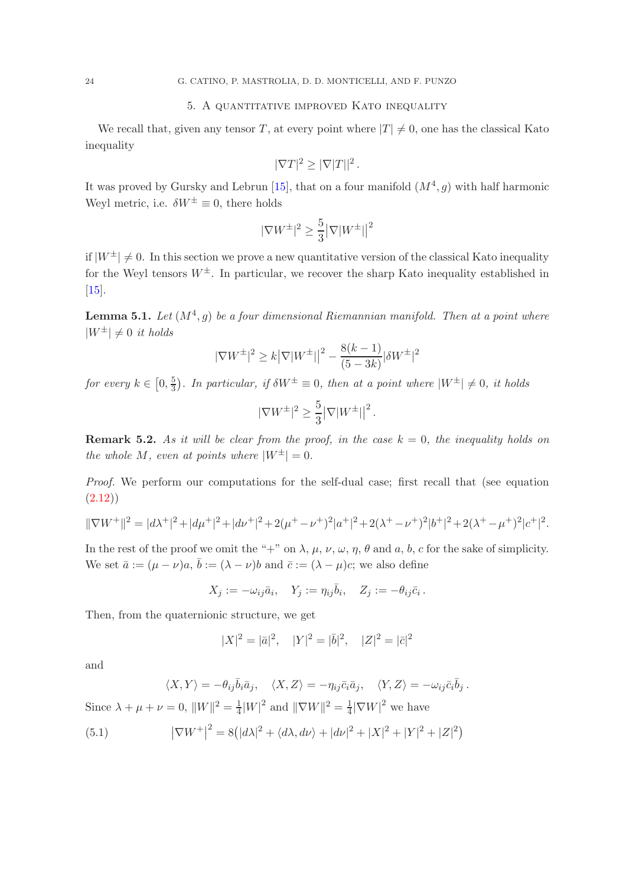# 5. A quantitative improved Kato inequality

<span id="page-23-0"></span>We recall that, given any tensor T, at every point where  $|T| \neq 0$ , one has the classical Kato inequality

$$
|\nabla T|^2 \ge |\nabla |T||^2.
$$

It was proved by Gursky and Lebrun [\[15\]](#page-29-15), that on a four manifold  $(M^4, g)$  with half harmonic Weyl metric, i.e.  $\delta W^{\pm} \equiv 0$ , there holds

$$
|\nabla W^\pm|^2\geq \frac{5}{3}\big|\nabla|W^\pm|\big|^2
$$

if  $|W^{\pm}| \neq 0$ . In this section we prove a new quantitative version of the classical Kato inequality for the Weyl tensors  $W^{\pm}$ . In particular, we recover the sharp Kato inequality established in [\[15\]](#page-29-15).

<span id="page-23-2"></span>**Lemma 5.1.** Let  $(M^4, g)$  be a four dimensional Riemannian manifold. Then at a point where  $|W^{\pm}| \neq 0$  *it holds* 

$$
|\nabla W^{\pm}|^2 \ge k |\nabla |W^{\pm}|^2 - \frac{8(k-1)}{(5-3k)} |\delta W^{\pm}|^2
$$

*for every*  $k \in [0, \frac{5}{3}]$  $\frac{5}{3}$ ). In particular, if  $\delta W^{\pm} \equiv 0$ , then at a point where  $|W^{\pm}| \neq 0$ , it holds

$$
|\nabla W^{\pm}|^2 \ge \frac{5}{3} |\nabla |W^{\pm}|^2.
$$

<span id="page-23-3"></span>**Remark 5.2.** As it will be clear from the proof, in the case  $k = 0$ , the inequality holds on *the whole* M, even at points where  $|W^{\pm}| = 0$ .

*Proof.* We perform our computations for the self-dual case; first recall that (see equation  $(2.12)$ 

$$
\|\nabla W^+\|^2 = |d\lambda^+|^2 + |d\mu^+|^2 + |d\nu^+|^2 + 2(\mu^+ - \nu^+)^2|a^+|^2 + 2(\lambda^+ - \nu^+)^2|b^+|^2 + 2(\lambda^+ - \mu^+)^2|c^+|^2.
$$

In the rest of the proof we omit the "+" on  $\lambda$ ,  $\mu$ ,  $\nu$ ,  $\omega$ ,  $\eta$ ,  $\theta$  and  $a$ ,  $b$ ,  $c$  for the sake of simplicity. We set  $\bar{a} := (\mu - \nu)a, \bar{b} := (\lambda - \nu)b$  and  $\bar{c} := (\lambda - \mu)c$ ; we also define

$$
X_j := -\omega_{ij}\bar{a}_i, \quad Y_j := \eta_{ij}\bar{b}_i, \quad Z_j := -\theta_{ij}\bar{c}_i.
$$

Then, from the quaternionic structure, we get

$$
|X|^2 = |\bar{a}|^2, \quad |Y|^2 = |\bar{b}|^2, \quad |Z|^2 = |\bar{c}|^2
$$

and

$$
\langle X, Y \rangle = -\theta_{ij}\bar{b}_i\bar{a}_j, \quad \langle X, Z \rangle = -\eta_{ij}\bar{c}_i\bar{a}_j, \quad \langle Y, Z \rangle = -\omega_{ij}\bar{c}_i\bar{b}_j.
$$
  
Since  $\lambda + \mu + \nu = 0$ ,  $||W||^2 = \frac{1}{4}|W|^2$  and  $||\nabla W||^2 = \frac{1}{4}|\nabla W|^2$  we have

<span id="page-23-1"></span>(5.1) 
$$
|\nabla W^+|^2 = 8(|d\lambda|^2 + \langle d\lambda, d\nu \rangle + |d\nu|^2 + |X|^2 + |Y|^2 + |Z|^2)
$$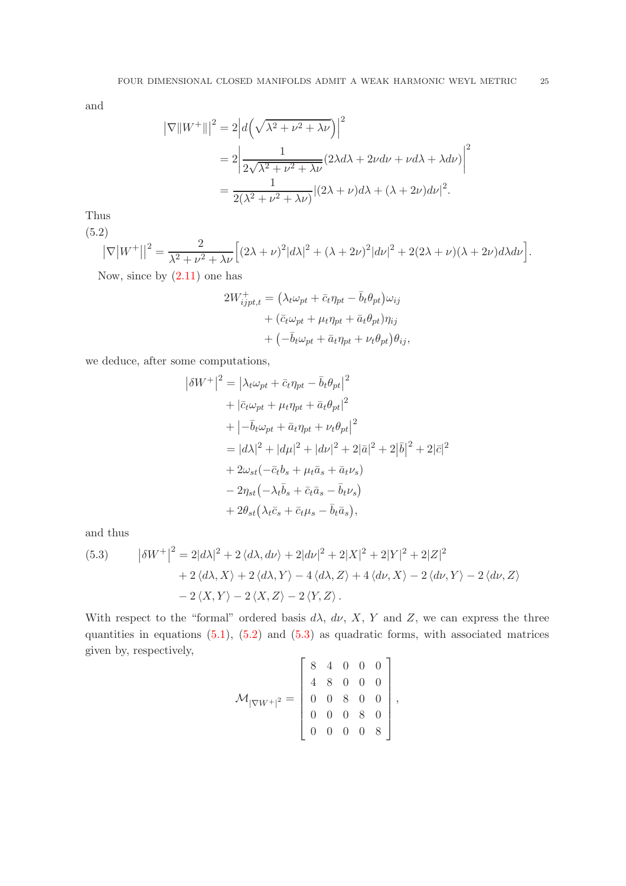and

$$
\begin{aligned} \left|\nabla \|W^+\|\right|^2 &= 2\left|d\left(\sqrt{\lambda^2 + \nu^2 + \lambda\nu}\right)\right|^2 \\ &= 2\left|\frac{1}{2\sqrt{\lambda^2 + \nu^2 + \lambda\nu}}(2\lambda d\lambda + 2\nu d\nu + \nu d\lambda + \lambda d\nu)\right|^2 \\ &= \frac{1}{2(\lambda^2 + \nu^2 + \lambda\nu)}|(2\lambda + \nu)d\lambda + (\lambda + 2\nu)d\nu|^2. \end{aligned}
$$

Thus

(5.2)

<span id="page-24-0"></span>
$$
|\nabla |W^+||^2 = \frac{2}{\lambda^2 + \nu^2 + \lambda \nu} \Big[ (2\lambda + \nu)^2 |d\lambda|^2 + (\lambda + 2\nu)^2 |d\nu|^2 + 2(2\lambda + \nu)(\lambda + 2\nu)d\lambda d\nu \Big].
$$

Now, since by  $(2.11)$  one has

$$
2W_{ijpt,t}^{+} = \left(\lambda_t \omega_{pt} + \bar{c}_t \eta_{pt} - \bar{b}_t \theta_{pt}\right) \omega_{ij}
$$

$$
+ \left(\bar{c}_t \omega_{pt} + \mu_t \eta_{pt} + \bar{a}_t \theta_{pt}\right) \eta_{ij}
$$

$$
+ \left(-\bar{b}_t \omega_{pt} + \bar{a}_t \eta_{pt} + \nu_t \theta_{pt}\right) \theta_{ij},
$$

we deduce, after some computations,

$$
\begin{aligned}\n\left|\delta W^{+}\right|^{2} &= \left|\lambda_{t}\omega_{pt} + \bar{c}_{t}\eta_{pt} - \bar{b}_{t}\theta_{pt}\right|^{2} \\
&+ \left|\bar{c}_{t}\omega_{pt} + \mu_{t}\eta_{pt} + \bar{a}_{t}\theta_{pt}\right|^{2} \\
&+ \left|-\bar{b}_{t}\omega_{pt} + \bar{a}_{t}\eta_{pt} + \nu_{t}\theta_{pt}\right|^{2} \\
&= \left|d\lambda\right|^{2} + \left|d\mu\right|^{2} + \left|d\nu\right|^{2} + 2\left|\bar{a}\right|^{2} + 2\left|\bar{b}\right|^{2} + 2\left|\bar{c}\right|^{2} \\
&+ 2\omega_{st}(-\bar{c}_{t}b_{s} + \mu_{t}\bar{a}_{s} + \bar{a}_{t}\nu_{s}) \\
&- 2\eta_{st}\left(-\lambda_{t}\bar{b}_{s} + \bar{c}_{t}\bar{a}_{s} - \bar{b}_{t}\nu_{s}\right) \\
&+ 2\theta_{st}\left(\lambda_{t}\bar{c}_{s} + \bar{c}_{t}\mu_{s} - \bar{b}_{t}\bar{a}_{s}\right),\n\end{aligned}
$$

and thus

<span id="page-24-1"></span>(5.3) 
$$
\left|\delta W^{+}\right|^{2} = 2|d\lambda|^{2} + 2\langle d\lambda, d\nu\rangle + 2|d\nu|^{2} + 2|X|^{2} + 2|Y|^{2} + 2|Z|^{2} + 2\langle d\lambda, X\rangle + 2\langle d\lambda, Y\rangle - 4\langle d\lambda, Z\rangle + 4\langle d\nu, X\rangle - 2\langle d\nu, Y\rangle - 2\langle d\nu, Z\rangle - 2\langle X, Y\rangle - 2\langle X, Z\rangle - 2\langle Y, Z\rangle.
$$

With respect to the "formal" ordered basis  $d\lambda$ ,  $d\nu$ , X, Y and Z, we can express the three quantities in equations  $(5.1)$ ,  $(5.2)$  and  $(5.3)$  as quadratic forms, with associated matrices given by, respectively,  $\mathbf{r}$  $\overline{a}$ 

$$
\mathcal{M}_{|\nabla W^{+}|^{2}} = \left[\begin{array}{cccc} 8 & 4 & 0 & 0 & 0 \\ 4 & 8 & 0 & 0 & 0 \\ 0 & 0 & 8 & 0 & 0 \\ 0 & 0 & 0 & 8 & 0 \\ 0 & 0 & 0 & 0 & 8 \end{array}\right],
$$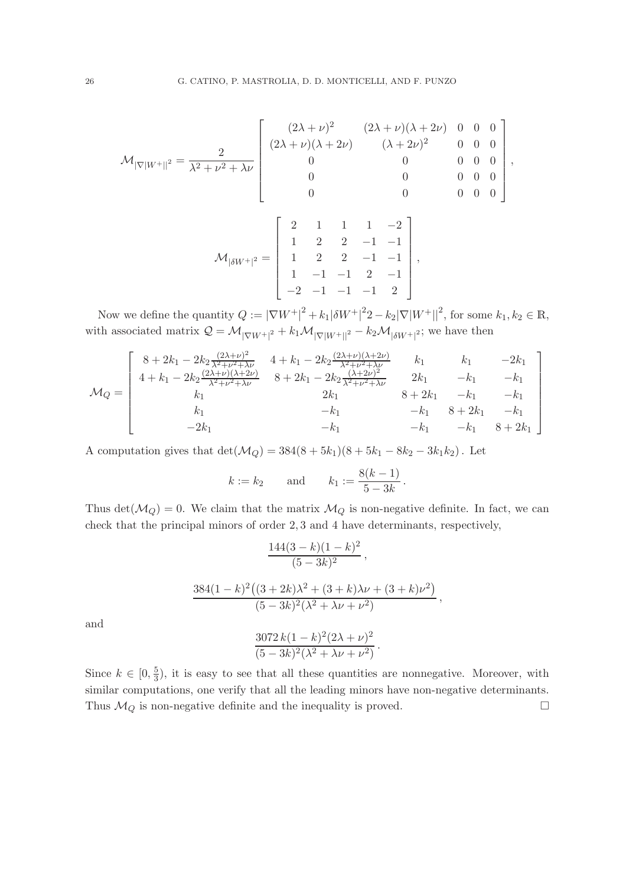$$
\mathcal{M}_{|\nabla|W^+||^2} = \frac{2}{\lambda^2 + \nu^2 + \lambda \nu} \begin{bmatrix} (2\lambda + \nu)^2 & (2\lambda + \nu)(\lambda + 2\nu) & 0 & 0 & 0 \\ (2\lambda + \nu)(\lambda + 2\nu) & (\lambda + 2\nu)^2 & 0 & 0 & 0 \\ 0 & 0 & 0 & 0 & 0 \\ 0 & 0 & 0 & 0 & 0 \\ 0 & 0 & 0 & 0 & 0 \end{bmatrix},
$$

$$
\mathcal{M}_{|\delta W^+|^2} = \left[\begin{array}{rrrr} 2 & 1 & 1 & 1 & -2 \\ 1 & 2 & 2 & -1 & -1 \\ 1 & 2 & 2 & -1 & -1 \\ 1 & -1 & -1 & 2 & -1 \\ -2 & -1 & -1 & -1 & 2 \end{array}\right],
$$

Now we define the quantity  $Q := |\nabla W^+|^2 + k_1 |\delta W^+|^2 - k_2 |\nabla |W^+||^2$ , for some  $k_1, k_2 \in \mathbb{R}$ , with associated matrix  $Q = \mathcal{M}_{|\nabla W^+|^2} + k_1 \mathcal{M}_{|\nabla |W^+|^2} - k_2 \mathcal{M}_{|\delta W^+|^2}$ ; we have then

$$
\mathcal{M}_Q = \begin{bmatrix}\n8 + 2k_1 - 2k_2 \frac{(2\lambda + \nu)^2}{\lambda^2 + \nu^2 + \lambda \nu} & 4 + k_1 - 2k_2 \frac{(2\lambda + \nu)(\lambda + 2\nu)}{\lambda^2 + \nu^2 + \lambda \nu} & k_1 & k_1 & -2k_1 \\
4 + k_1 - 2k_2 \frac{(2\lambda + \nu)(\lambda + 2\nu)}{\lambda^2 + \nu^2 + \lambda \nu} & 8 + 2k_1 - 2k_2 \frac{(\lambda + 2\nu)^2}{\lambda^2 + \nu^2 + \lambda \nu} & 2k_1 & -k_1 & -k_1 \\
k_1 & 2k_1 & 8 + 2k_1 & -k_1 & -k_1 \\
k_1 & -k_1 & -k_1 & 8 + 2k_1 & -k_1 \\
-2k_1 & -k_1 & -k_1 & 8 + 2k_1\n\end{bmatrix}
$$

A computation gives that  $\det(\mathcal{M}_Q) = 384(8 + 5k_1)(8 + 5k_1 - 8k_2 - 3k_1k_2)$ . Let

$$
k := k_2
$$
 and  $k_1 := \frac{8(k-1)}{5-3k}$ .

Thus det( $\mathcal{M}_Q$ ) = 0. We claim that the matrix  $\mathcal{M}_Q$  is non-negative definite. In fact, we can check that the principal minors of order 2, 3 and 4 have determinants, respectively,

$$
\frac{144(3-k)(1-k)^2}{(5-3k)^2},
$$
  

$$
\frac{384(1-k)^2((3+2k)\lambda^2+(3+k)\lambda\nu+(3+k)\nu^2)}{(5-3k)^2(\lambda^2+\lambda\nu+\nu^2)},
$$
  

$$
\frac{3072k(1-k)^2(2\lambda+\nu)^2}{(5-3k)^2(\lambda^2+\lambda\nu+\nu^2)}.
$$

and

Since  $k \in [0, \frac{5}{3}]$  $\frac{5}{3}$ , it is easy to see that all these quantities are nonnegative. Moreover, with similar computations, one verify that all the leading minors have non-negative determinants. Thus  $\mathcal{M}_Q$  is non-negative definite and the inequality is proved.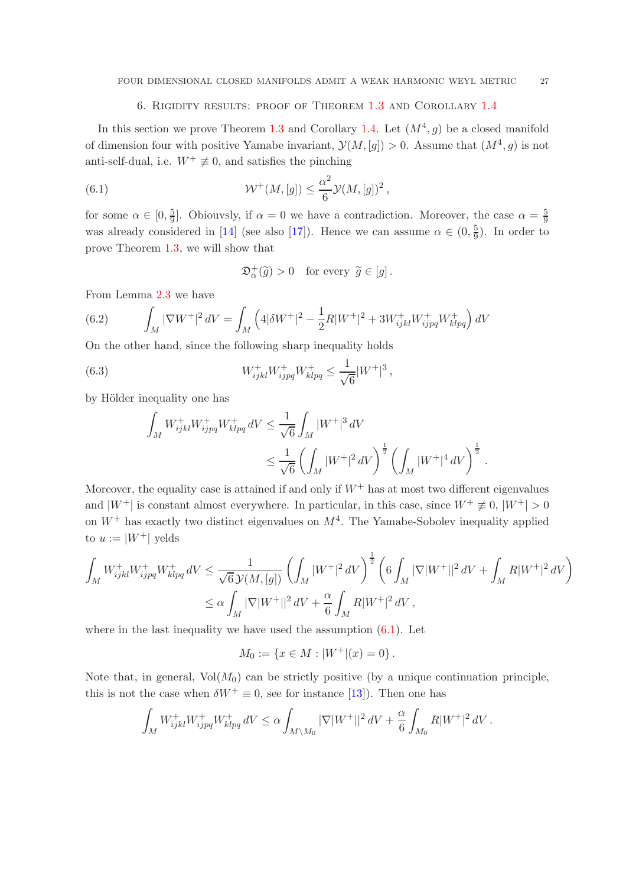## 6. Rigidity results: proof of Theorem [1.3](#page-4-1) and Corollary [1.4](#page-4-0)

<span id="page-26-0"></span>In this section we prove Theorem [1.3](#page-4-1) and Corollary [1.4.](#page-4-0) Let  $(M^4, g)$  be a closed manifold of dimension four with positive Yamabe invariant,  $\mathcal{Y}(M,[g]) > 0$ . Assume that  $(M^4, g)$  is not anti-self-dual, i.e.  $W^+ \neq 0$ , and satisfies the pinching

(6.1) 
$$
\mathcal{W}^+(M,[g]) \leq \frac{\alpha^2}{6} \mathcal{Y}(M,[g])^2,
$$

for some  $\alpha \in [0, \frac{5}{9}]$  $\frac{5}{9}$ . Obiouvsly, if  $\alpha = 0$  we have a contradiction. Moreover, the case  $\alpha = \frac{5}{9}$ 9 was already considered in [\[14\]](#page-29-10) (see also [\[17\]](#page-29-16)). Hence we can assume  $\alpha \in (0, \frac{5}{9})$  $\frac{5}{9}$ ). In order to prove Theorem [1.3,](#page-4-1) we will show that

<span id="page-26-3"></span><span id="page-26-1"></span>
$$
\mathfrak{D}_{\alpha}^{+}(\widetilde{g}) > 0 \quad \text{for every } \widetilde{g} \in [g].
$$

From Lemma [2.3](#page-9-0) we have

<span id="page-26-2"></span>(6.2) 
$$
\int_M |\nabla W^+|^2 dV = \int_M \left( 4|\delta W^+|^2 - \frac{1}{2}R|W^+|^2 + 3W^+_{ijkl}W^+_{ijpq}W^+_{klpq} \right) dV
$$

On the other hand, since the following sharp inequality holds

(6.3) 
$$
W_{ijkl}^+ W_{ijpq}^+ W_{klpq}^+ \leq \frac{1}{\sqrt{6}} |W^+|^3,
$$

by Hölder inequality one has

$$
\begin{split} \int_{M} W_{ijkl}^{+} W_{ijpq}^{+} W_{klpq}^{+} \, dV &\leq \frac{1}{\sqrt{6}} \int_{M} |W^{+}|^{3} \, dV \\ & \leq \frac{1}{\sqrt{6}} \left(\int_{M} |W^{+}|^{2} \, dV\right)^{\frac{1}{2}} \left(\int_{M} |W^{+}|^{4} \, dV\right)^{\frac{1}{2}} \, . \end{split}
$$

Moreover, the equality case is attained if and only if  $W^+$  has at most two different eigenvalues and  $|W^+|$  is constant almost everywhere. In particular, in this case, since  $W^+ \neq 0$ ,  $|W^+| > 0$ on  $W^+$  has exactly two distinct eigenvalues on  $M^4$ . The Yamabe-Sobolev inequality applied to  $u := |W^+|$  yelds

$$
\int_{M} W_{ijkl}^{+} W_{ijpq}^{+} W_{klpq}^{+} dV \le \frac{1}{\sqrt{6} \mathcal{Y}(M, [g])} \left( \int_{M} |W^{+}|^{2} dV \right)^{\frac{1}{2}} \left( 6 \int_{M} |\nabla |W^{+}||^{2} dV + \int_{M} R|W^{+}|^{2} dV \right)
$$
  

$$
\le \alpha \int_{M} |\nabla |W^{+}||^{2} dV + \frac{\alpha}{6} \int_{M} R|W^{+}|^{2} dV,
$$

where in the last inequality we have used the assumption  $(6.1)$ . Let

$$
M_0 := \{ x \in M : |W^+|(x) = 0 \} .
$$

Note that, in general,  $Vol(M_0)$  can be strictly positive (by a unique continuation principle, this is not the case when  $\delta W^+ \equiv 0$ , see for instance [\[13\]](#page-29-17)). Then one has

$$
\int_{M} W_{ijkl}^{+} W_{ijpq}^{+} W_{klpq}^{+} \, dV \leq \alpha \int_{M \backslash M_{0}} |\nabla| W^{+} ||^{2} \, dV + \frac{\alpha}{6} \int_{M_{0}} R |W^{+}|^{2} \, dV \, .
$$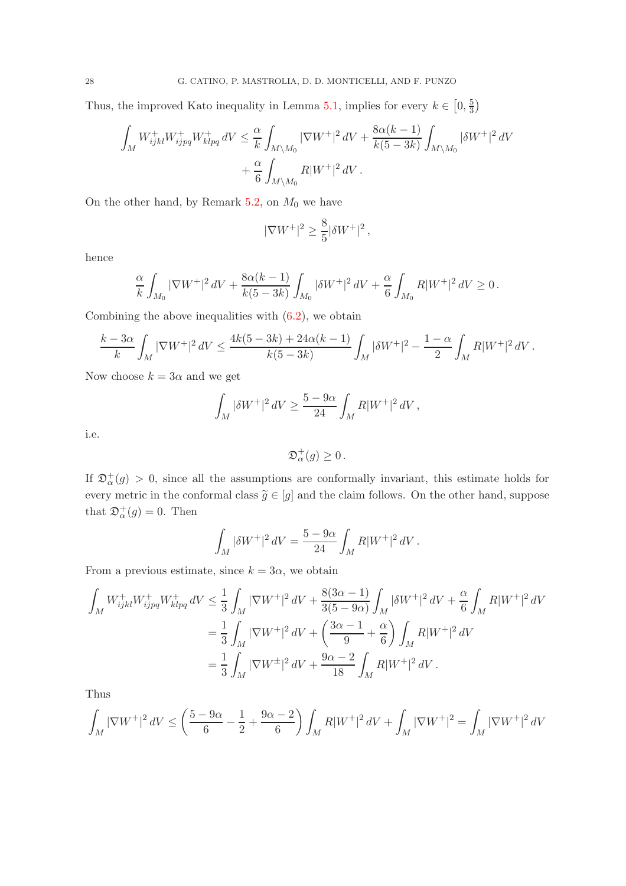Thus, the improved Kato inequality in Lemma [5.1,](#page-23-2) implies for every  $k \in [0, \frac{5}{3}]$  $\frac{5}{3}$ 

$$
\int_{M} W_{ijkl}^{+} W_{ijpq}^{+} W_{klpq}^{+} dV \leq \frac{\alpha}{k} \int_{M \setminus M_0} |\nabla W^{+}|^2 dV + \frac{8\alpha(k-1)}{k(5-3k)} \int_{M \setminus M_0} |\delta W^{+}|^2 dV + \frac{\alpha}{6} \int_{M \setminus M_0} R|W^{+}|^2 dV.
$$

On the other hand, by Remark [5.2,](#page-23-3) on  $M_0$  we have

$$
|\nabla W^+|^2 \ge \frac{8}{5} |\delta W^+|^2,
$$

hence

$$
\frac{\alpha}{k} \int_{M_0} |\nabla W^+|^2 \, dV + \frac{8\alpha(k-1)}{k(5-3k)} \int_{M_0} |\delta W^+|^2 \, dV + \frac{\alpha}{6} \int_{M_0} R|W^+|^2 \, dV \ge 0 \, .
$$

Combining the above inequalities with  $(6.2)$ , we obtain

$$
\frac{k-3\alpha}{k}\int_M |\nabla W^+|^2\,dV\leq \frac{4k(5-3k)+24\alpha(k-1)}{k(5-3k)}\int_M |\delta W^+|^2-\frac{1-\alpha}{2}\int_M R|W^+|^2\,dV\,.
$$

Now choose  $k = 3\alpha$  and we get

$$
\int_M |\delta W^+|^2\,dV \geq \frac{5-9\alpha}{24} \int_M R|W^+|^2\,dV\,,
$$

i.e.

$$
\mathfrak{D}_{\alpha}^{+}(g) \geq 0.
$$

If  $\mathfrak{D}_{\alpha}^{+}(g) > 0$ , since all the assumptions are conformally invariant, this estimate holds for every metric in the conformal class  $\tilde{g} \in [g]$  and the claim follows. On the other hand, suppose that  $\mathfrak{D}^+_{\alpha}(g) = 0$ . Then

$$
\int_M |\delta W^+|^2\,dV = \frac{5-9\alpha}{24}\int_M R|W^+|^2\,dV\,.
$$

From a previous estimate, since  $k = 3\alpha$ , we obtain

$$
\int_{M} W_{ijkl}^{+} W_{ijpq}^{+} W_{klpq}^{+} dV \leq \frac{1}{3} \int_{M} |\nabla W^{+}|^{2} dV + \frac{8(3\alpha - 1)}{3(5 - 9\alpha)} \int_{M} |\delta W^{+}|^{2} dV + \frac{\alpha}{6} \int_{M} R|W^{+}|^{2} dV
$$
  

$$
= \frac{1}{3} \int_{M} |\nabla W^{+}|^{2} dV + \left(\frac{3\alpha - 1}{9} + \frac{\alpha}{6}\right) \int_{M} R|W^{+}|^{2} dV
$$
  

$$
= \frac{1}{3} \int_{M} |\nabla W^{\pm}|^{2} dV + \frac{9\alpha - 2}{18} \int_{M} R|W^{+}|^{2} dV.
$$

Thus

$$
\int_M |\nabla W^+|^2 \, dV \le \left(\frac{5-9\alpha}{6} - \frac{1}{2} + \frac{9\alpha - 2}{6}\right) \int_M R|W^+|^2 \, dV + \int_M |\nabla W^+|^2 = \int_M |\nabla W^+|^2 \, dV
$$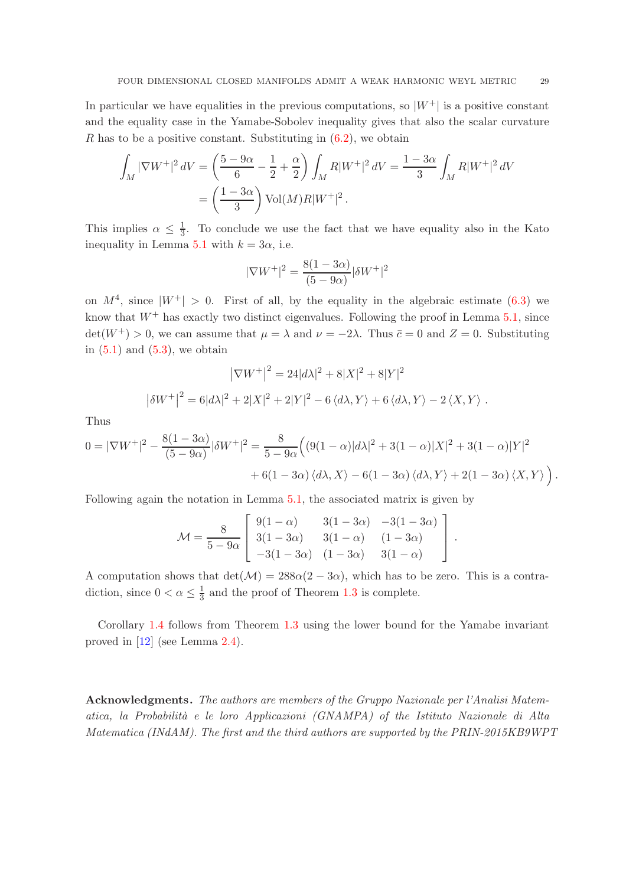In particular we have equalities in the previous computations, so  $|W^+|$  is a positive constant and the equality case in the Yamabe-Sobolev inequality gives that also the scalar curvature R has to be a positive constant. Substituting in  $(6.2)$ , we obtain

$$
\int_M |\nabla W^+|^2 \, dV = \left(\frac{5 - 9\alpha}{6} - \frac{1}{2} + \frac{\alpha}{2}\right) \int_M R|W^+|^2 \, dV = \frac{1 - 3\alpha}{3} \int_M R|W^+|^2 \, dV
$$
\n
$$
= \left(\frac{1 - 3\alpha}{3}\right) \text{Vol}(M) R|W^+|^2 \, .
$$

This implies  $\alpha \leq \frac{1}{3}$  $\frac{1}{3}$ . To conclude we use the fact that we have equality also in the Kato inequality in Lemma [5.1](#page-23-2) with  $k = 3\alpha$ , i.e.

$$
|\nabla W^{+}|^{2} = \frac{8(1 - 3\alpha)}{(5 - 9\alpha)} |\delta W^{+}|^{2}
$$

on  $M^4$ , since  $|W^+| > 0$ . First of all, by the equality in the algebraic estimate [\(6.3\)](#page-26-3) we know that  $W^+$  has exactly two distinct eigenvalues. Following the proof in Lemma [5.1,](#page-23-2) since  $\det(W^+) > 0$ , we can assume that  $\mu = \lambda$  and  $\nu = -2\lambda$ . Thus  $\bar{c} = 0$  and  $Z = 0$ . Substituting in  $(5.1)$  and  $(5.3)$ , we obtain

$$
|\nabla W^+|^2 = 24|d\lambda|^2 + 8|X|^2 + 8|Y|^2
$$

$$
|\delta W^+|^2 = 6|d\lambda|^2 + 2|X|^2 + 2|Y|^2 - 6\langle d\lambda, Y \rangle + 6\langle d\lambda, Y \rangle - 2\langle X, Y \rangle.
$$

Thus

$$
0 = |\nabla W^+|^2 - \frac{8(1-3\alpha)}{(5-9\alpha)}|\delta W^+|^2 = \frac{8}{5-9\alpha} \Big( (9(1-\alpha)|d\lambda|^2 + 3(1-\alpha)|X|^2 + 3(1-\alpha)|Y|^2
$$

$$
+ 6(1-3\alpha)\langle d\lambda, X \rangle - 6(1-3\alpha)\langle d\lambda, Y \rangle + 2(1-3\alpha)\langle X, Y \rangle \Big).
$$

Following again the notation in Lemma [5.1,](#page-23-2) the associated matrix is given by

$$
\mathcal{M} = \frac{8}{5 - 9\alpha} \left[ \begin{array}{ccc} 9(1 - \alpha) & 3(1 - 3\alpha) & -3(1 - 3\alpha) \\ 3(1 - 3\alpha) & 3(1 - \alpha) & (1 - 3\alpha) \\ -3(1 - 3\alpha) & (1 - 3\alpha) & 3(1 - \alpha) \end{array} \right].
$$

A computation shows that  $det(\mathcal{M}) = 288\alpha(2 - 3\alpha)$ , which has to be zero. This is a contradiction, since  $0 < \alpha \leq \frac{1}{3}$  and the proof of Theorem [1.3](#page-4-1) is complete.

Corollary [1.4](#page-4-0) follows from Theorem [1.3](#page-4-1) using the lower bound for the Yamabe invariant proved in [\[12\]](#page-29-14) (see Lemma [2.4\)](#page-10-0).

Acknowledgments. *The authors are members of the Gruppo Nazionale per l'Analisi Matematica, la Probabilit`a e le loro Applicazioni (GNAMPA) of the Istituto Nazionale di Alta Matematica (INdAM). The first and the third authors are supported by the PRIN-2015KB9WPT*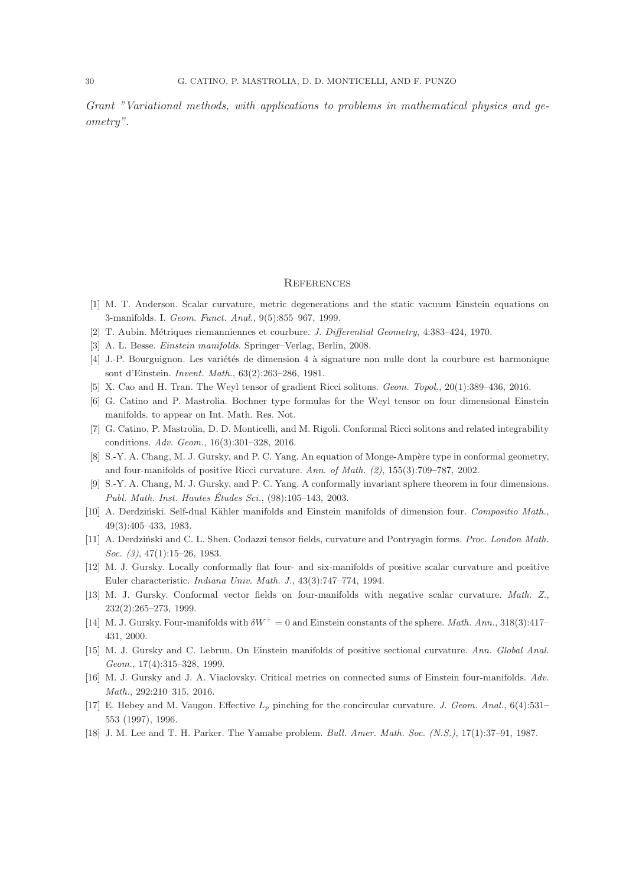*Grant "Variational methods, with applications to problems in mathematical physics and geometry".*

#### **REFERENCES**

- <span id="page-29-9"></span><span id="page-29-4"></span>[1] M. T. Anderson. Scalar curvature, metric degenerations and the static vacuum Einstein equations on 3-manifolds. I. Geom. Funct. Anal., 9(5):855–967, 1999.
- <span id="page-29-0"></span>[2] T. Aubin. Métriques riemanniennes et courbure. J. Differential Geometry, 4:383-424, 1970.
- <span id="page-29-6"></span>[3] A. L. Besse. Einstein manifolds. Springer–Verlag, Berlin, 2008.
- <span id="page-29-11"></span>[4] J.-P. Bourguignon. Les variétés de dimension 4 à signature non nulle dont la courbure est harmonique sont d'Einstein. Invent. Math., 63(2):263–286, 1981.
- <span id="page-29-12"></span>[5] X. Cao and H. Tran. The Weyl tensor of gradient Ricci solitons. Geom. Topol., 20(1):389–436, 2016.
- <span id="page-29-13"></span>[6] G. Catino and P. Mastrolia. Bochner type formulas for the Weyl tensor on four dimensional Einstein manifolds. to appear on Int. Math. Res. Not.
- <span id="page-29-2"></span>[7] G. Catino, P. Mastrolia, D. D. Monticelli, and M. Rigoli. Conformal Ricci solitons and related integrability conditions. Adv. Geom., 16(3):301–328, 2016.
- <span id="page-29-8"></span>[8] S.-Y. A. Chang, M. J. Gursky, and P. C. Yang. An equation of Monge-Ampère type in conformal geometry, and four-manifolds of positive Ricci curvature. Ann. of Math. (2), 155(3):709–787, 2002.
- [9] S.-Y. A. Chang, M. J. Gursky, and P. C. Yang. A conformally invariant sphere theorem in four dimensions. Publ. Math. Inst. Hautes Études Sci.,  $(98):105-143, 2003$ .
- <span id="page-29-7"></span><span id="page-29-5"></span>[10] A. Derdziński. Self-dual Kähler manifolds and Einstein manifolds of dimension four. Compositio Math., 49(3):405–433, 1983.
- <span id="page-29-14"></span>[11] A. Derdziński and C. L. Shen. Codazzi tensor fields, curvature and Pontryagin forms. Proc. London Math. Soc. (3), 47(1):15–26, 1983.
- <span id="page-29-17"></span>[12] M. J. Gursky. Locally conformally flat four- and six-manifolds of positive scalar curvature and positive Euler characteristic. Indiana Univ. Math. J., 43(3):747–774, 1994.
- <span id="page-29-10"></span>[13] M. J. Gursky. Conformal vector fields on four-manifolds with negative scalar curvature. Math. Z., 232(2):265–273, 1999.
- <span id="page-29-15"></span>[14] M. J. Gursky. Four-manifolds with  $\delta W^+ = 0$  and Einstein constants of the sphere. Math. Ann., 318(3):417– 431, 2000.
- <span id="page-29-3"></span>[15] M. J. Gursky and C. Lebrun. On Einstein manifolds of positive sectional curvature. Ann. Global Anal. Geom., 17(4):315–328, 1999.
- <span id="page-29-16"></span>[16] M. J. Gursky and J. A. Viaclovsky. Critical metrics on connected sums of Einstein four-manifolds. Adv. Math., 292:210–315, 2016.
- [17] E. Hebey and M. Vaugon. Effective  $L_p$  pinching for the concircular curvature. J. Geom. Anal., 6(4):531– 553 (1997), 1996.
- <span id="page-29-1"></span>[18] J. M. Lee and T. H. Parker. The Yamabe problem. Bull. Amer. Math. Soc. (N.S.), 17(1):37–91, 1987.